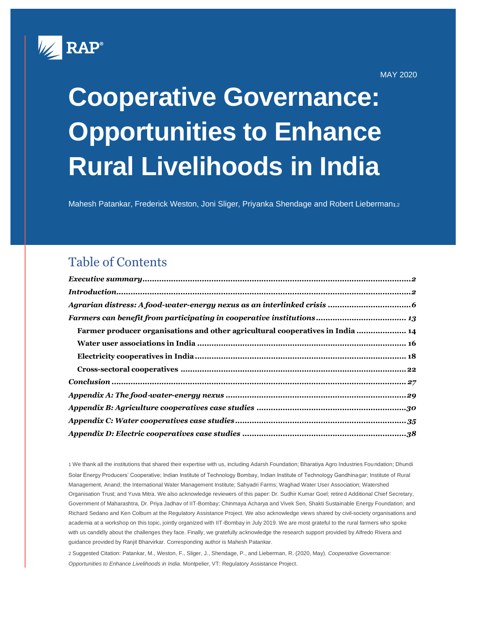

MAY 2020

# **Cooperative Governance: Opportunities to Enhance Rural Livelihoods in India**

Mahesh Patankar, Frederick Weston, Joni Sliger, Priyanka Shendage and Robert Lieberman**1**,<sup>2</sup>

### Table of Contents

| Farmer producer organisations and other agricultural cooperatives in India  14 |  |
|--------------------------------------------------------------------------------|--|
|                                                                                |  |
|                                                                                |  |
|                                                                                |  |
|                                                                                |  |
|                                                                                |  |
|                                                                                |  |
|                                                                                |  |
|                                                                                |  |
|                                                                                |  |

1 We thank all the institutions that shared their expertise with us, including Adarsh Foundation; Bharatiya Agro Industries Foundation; Dhundi Solar Energy Producers' Cooperative; Indian Institute of Technology Bombay, Indian Institute of Technology Gandhinagar; Institute of Rural Management, Anand; the International Water Management Institute; Sahyadri Farms; Waghad Water User Association; Watershed Organisation Trust; and Yuva Mitra. We also acknowledge reviewers of this paper: Dr. Sudhir Kumar Goel; retired Additional Chief Secretary, Government of Maharashtra, Dr. Priya Jadhav of IIT-Bombay; Chinmaya Acharya and Vivek Sen, Shakti Sustainable Energy Foundation; and Richard Sedano and Ken Colburn at the Regulatory Assistance Project. We also acknowledge views shared by civil-society organisations and academia at a workshop on this topic, jointly organized with IIT-Bombay in July 2019. We are most grateful to the rural farmers who spoke with us candidly about the challenges they face. Finally, we gratefully acknowledge the research support provided by Alfredo Rivera and guidance provided by Ranjit Bharvirkar. Corresponding author is Mahesh Patankar.

2 Suggested Citation: Patankar, M., Weston, F., Sliger, J., Shendage, P., and Lieberman, R. (2020, May). *Cooperative Governance: Opportunities to Enhance Livelihoods in India*. Montpelier, VT: Regulatory Assistance Project.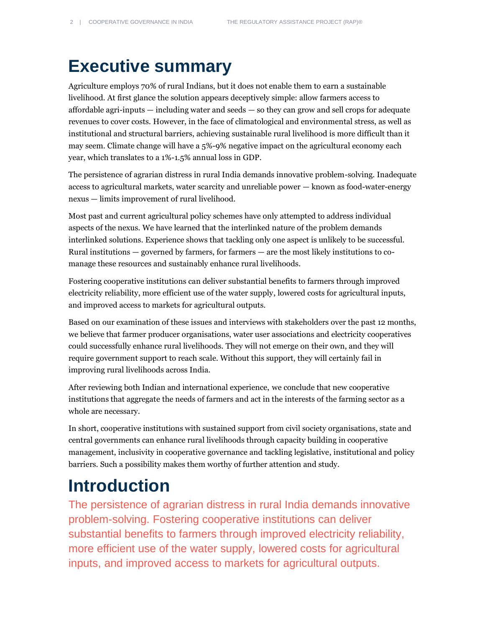# <span id="page-1-0"></span>**Executive summary**

Agriculture employs 70% of rural Indians, but it does not enable them to earn a sustainable livelihood. At first glance the solution appears deceptively simple: allow farmers access to affordable agri-inputs — including water and seeds — so they can grow and sell crops for adequate revenues to cover costs. However, in the face of climatological and environmental stress, as well as institutional and structural barriers, achieving sustainable rural livelihood is more difficult than it may seem. Climate change will have a 5%-9% negative impact on the agricultural economy each year, which translates to a 1%-1.5% annual loss in GDP.

The persistence of agrarian distress in rural India demands innovative problem-solving. Inadequate access to agricultural markets, water scarcity and unreliable power — known as food-water-energy nexus — limits improvement of rural livelihood.

Most past and current agricultural policy schemes have only attempted to address individual aspects of the nexus. We have learned that the interlinked nature of the problem demands interlinked solutions. Experience shows that tackling only one aspect is unlikely to be successful. Rural institutions — governed by farmers, for farmers — are the most likely institutions to comanage these resources and sustainably enhance rural livelihoods.

Fostering cooperative institutions can deliver substantial benefits to farmers through improved electricity reliability, more efficient use of the water supply, lowered costs for agricultural inputs, and improved access to markets for agricultural outputs.

Based on our examination of these issues and interviews with stakeholders over the past 12 months, we believe that farmer producer organisations, water user associations and electricity cooperatives could successfully enhance rural livelihoods. They will not emerge on their own, and they will require government support to reach scale. Without this support, they will certainly fail in improving rural livelihoods across India.

After reviewing both Indian and international experience, we conclude that new cooperative institutions that aggregate the needs of farmers and act in the interests of the farming sector as a whole are necessary.

In short, cooperative institutions with sustained support from civil society organisations, state and central governments can enhance rural livelihoods through capacity building in cooperative management, inclusivity in cooperative governance and tackling legislative, institutional and policy barriers. Such a possibility makes them worthy of further attention and study.

### <span id="page-1-1"></span>**Introduction**

The persistence of agrarian distress in rural India demands innovative problem-solving. Fostering cooperative institutions can deliver substantial benefits to farmers through improved electricity reliability, more efficient use of the water supply, lowered costs for agricultural inputs, and improved access to markets for agricultural outputs.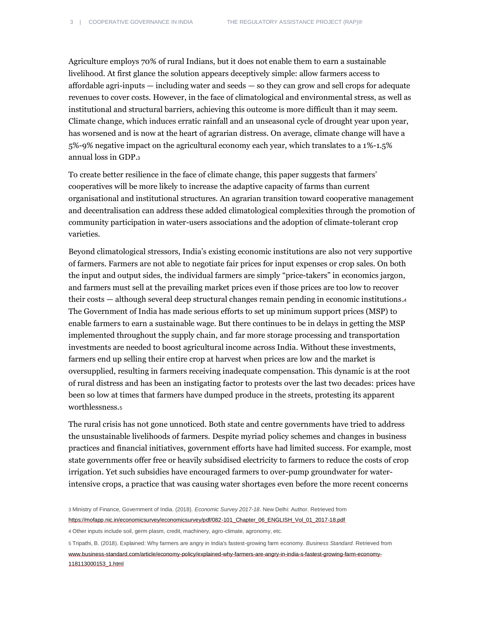Agriculture employs 70% of rural Indians, but it does not enable them to earn a sustainable livelihood. At first glance the solution appears deceptively simple: allow farmers access to affordable agri-inputs — including water and seeds — so they can grow and sell crops for adequate revenues to cover costs. However, in the face of climatological and environmental stress, as well as institutional and structural barriers, achieving this outcome is more difficult than it may seem. Climate change, which induces erratic rainfall and an unseasonal cycle of drought year upon year, has worsened and is now at the heart of agrarian distress. On average, climate change will have a 5%-9% negative impact on the agricultural economy each year, which translates to a 1%-1.5% annual loss in GDP.<sup>3</sup>

To create better resilience in the face of climate change, this paper suggests that farmers' cooperatives will be more likely to increase the adaptive capacity of farms than current organisational and institutional structures. An agrarian transition toward cooperative management and decentralisation can address these added climatological complexities through the promotion of community participation in water-users associations and the adoption of climate-tolerant crop varieties.

Beyond climatological stressors, India's existing economic institutions are also not very supportive of farmers. Farmers are not able to negotiate fair prices for input expenses or crop sales. On both the input and output sides, the individual farmers are simply "price-takers" in economics jargon, and farmers must sell at the prevailing market prices even if those prices are too low to recover their costs — although several deep structural changes remain pending in economic institutions.<sup>4</sup> The Government of India has made serious efforts to set up minimum support prices (MSP) to enable farmers to earn a sustainable wage. But there continues to be in delays in getting the MSP implemented throughout the supply chain, and far more storage processing and transportation investments are needed to boost agricultural income across India. Without these investments, farmers end up selling their entire crop at harvest when prices are low and the market is oversupplied, resulting in farmers receiving inadequate compensation. This dynamic is at the root of rural distress and has been an instigating factor to protests over the last two decades: prices have been so low at times that farmers have dumped produce in the streets, protesting its apparent worthlessness.<sup>5</sup>

The rural crisis has not gone unnoticed. Both state and centre governments have tried to address the unsustainable livelihoods of farmers. Despite myriad policy schemes and changes in business practices and financial initiatives, government efforts have had limited success. For example, most state governments offer free or heavily subsidised electricity to farmers to reduce the costs of crop irrigation. Yet such subsidies have encouraged farmers to over-pump groundwater for waterintensive crops, a practice that was causing water shortages even before the more recent concerns

5 Tripathi, B. (2018). Explained: Why farmers are angry in India's fastest-growing farm economy. *Business Standard*. Retrieved from [www.business-standard.com/article/economy-policy/explained-why-farmers-are-angry-in-india-s-fastest-growing-farm-economy-](http://www.business-standard.com/article/economy-policy/explained-why-farmers-are-angry-in-india-s-fastest-growing-farm-economy-118113000153_1.html)[118113000153\\_1.html](http://www.business-standard.com/article/economy-policy/explained-why-farmers-are-angry-in-india-s-fastest-growing-farm-economy-118113000153_1.html)

<sup>3</sup> Ministry of Finance, Government of India. (2018). *Economic Survey 2017-18*. New Delhi: Author. Retrieved from [https://mofapp.nic.in/economicsurvey/economicsurvey/pdf/082-101\\_Chapter\\_06\\_ENGLISH\\_Vol\\_01\\_2017-18.pdf](https://mofapp.nic.in/economicsurvey/economicsurvey/pdf/082-101_Chapter_06_ENGLISH_Vol_01_2017-18.pdf)

<sup>4</sup> Other inputs include soil, germ plasm, credit, machinery, agro-climate, agronomy, etc.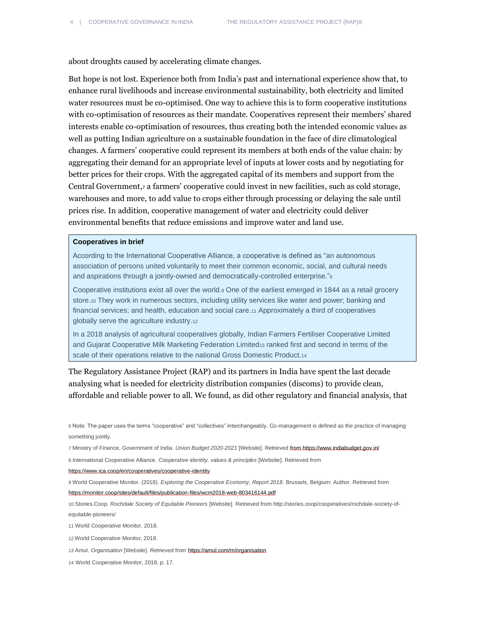about droughts caused by accelerating climate changes.

But hope is not lost. Experience both from India's past and international experience show that, to enhance rural livelihoods and increase environmental sustainability, both electricity and limited water resources must be co-optimised. One way to achieve this is to form cooperative institutions with co-optimisation of resources as their mandate. Cooperatives represent their members' shared interests enable co-optimisation of resources, thus creating both the intended economic value<sup>6</sup> as well as putting Indian agriculture on a sustainable foundation in the face of dire climatological changes. A farmers' cooperative could represent its members at both ends of the value chain: by aggregating their demand for an appropriate level of inputs at lower costs and by negotiating for better prices for their crops. With the aggregated capital of its members and support from the Central Government,<sup>7</sup> a farmers' cooperative could invest in new facilities, such as cold storage, warehouses and more, to add value to crops either through processing or delaying the sale until prices rise. In addition, cooperative management of water and electricity could deliver environmental benefits that reduce emissions and improve water and land use.

### **Cooperatives in brief**

According to the International Cooperative Alliance, a cooperative is defined as "an autonomous association of persons united voluntarily to meet their common economic, social, and cultural needs and aspirations through a jointly-owned and democratically-controlled enterprise."<sup>8</sup>

Cooperative institutions exist all over the world.<sup>9</sup> One of the earliest emerged in 1844 as a retail grocery store.<sup>10</sup> They work in numerous sectors, including utility services like water and power; banking and financial services; and health, education and social care.<sup>11</sup> Approximately a third of cooperatives globally serve the agriculture industry.<sup>12</sup>

In a 2018 analysis of agricultural cooperatives globally, Indian Farmers Fertiliser Cooperative Limited and Gujarat Cooperative Milk Marketing Federation Limited13 ranked first and second in terms of the scale of their operations relative to the national Gross Domestic Product.14

The Regulatory Assistance Project (RAP) and its partners in India have spent the last decade analysing what is needed for electricity distribution companies (discoms) to provide clean, affordable and reliable power to all. We found, as did other regulatory and financial analysis, that

6 Note: The paper uses the terms "cooperative" and "collectives" interchangeably. Co-management is defined as the practice of managing something jointly.

7 Ministry of Finance, Government of India. *Union Budget 2020-2021* [Website]. Retrieved fro[m https://www.indiabudget.gov.in/](https://www.indiabudget.gov.in/)

8 International Cooperative Alliance*. Cooperative identity, values & principles* [Website]. Retrieved from

<https://www.ica.coop/en/cooperatives/cooperative-identity>

9 World Cooperative Monitor. (2018). *Exploring the Cooperative Economy, Report 2018*. Brussels, Belgium: Author. Retrieved from <https://monitor.coop/sites/default/files/publication-files/wcm2018-web-803416144.pdf>

10 Stories.Coop. *Rochdale Society of Equitable Pioneers* [Website]. Retrieved fro[m http://stories.coop/cooperatives/rochdale-society-of](http://stories.coop/cooperatives/rochdale-society-of-equitable-pioneers/)[equitable-pioneers/](http://stories.coop/cooperatives/rochdale-society-of-equitable-pioneers/)

11 World Cooperative Monitor, 2018.

12 World Cooperative Monitor, 2018.

13 Amul. *Organisation* [Website]. Retrieved from <https://amul.com/m/organisation>

14 World Cooperative Monitor, 2018, p. 17.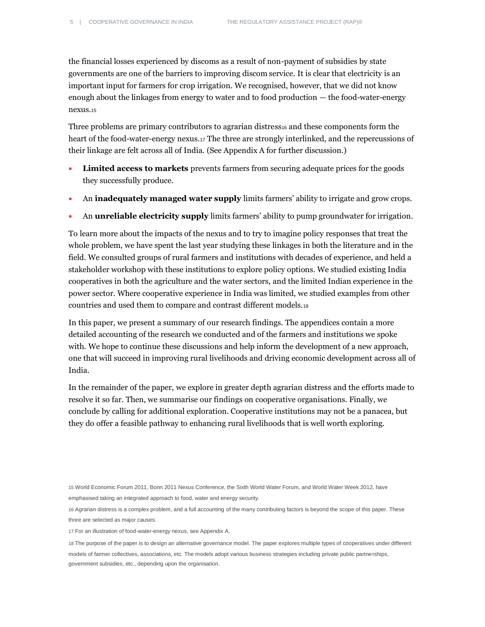the financial losses experienced by discoms as a result of non-payment of subsidies by state governments are one of the barriers to improving discom service. It is clear that electricity is an important input for farmers for crop irrigation. We recognised, however, that we did not know enough about the linkages from energy to water and to food production — the food-water-energy nexus.<sup>15</sup>

Three problems are primary contributors to agrarian distress $\frac{1}{16}$  and these components form the heart of the food-water-energy nexus.<sup>17</sup> The three are strongly interlinked, and the repercussions of their linkage are felt across all of India. (See Appendix A for further discussion.)

- **Limited access to markets** prevents farmers from securing adequate prices for the goods they successfully produce.
- An **inadequately managed water supply** limits farmers' ability to irrigate and grow crops.
- An **unreliable electricity supply** limits farmers' ability to pump groundwater for irrigation.

To learn more about the impacts of the nexus and to try to imagine policy responses that treat the whole problem, we have spent the last year studying these linkages in both the literature and in the field. We consulted groups of rural farmers and institutions with decades of experience, and held a stakeholder workshop with these institutions to explore policy options. We studied existing India cooperatives in both the agriculture and the water sectors, and the limited Indian experience in the power sector. Where cooperative experience in India was limited, we studied examples from other countries and used them to compare and contrast different models.<sup>18</sup>

In this paper, we present a summary of our research findings. The appendices contain a more detailed accounting of the research we conducted and of the farmers and institutions we spoke with. We hope to continue these discussions and help inform the development of a new approach, one that will succeed in improving rural livelihoods and driving economic development across all of India.

In the remainder of the paper, we explore in greater depth agrarian distress and the efforts made to resolve it so far. Then, we summarise our findings on cooperative organisations. Finally, we conclude by calling for additional exploration. Cooperative institutions may not be a panacea, but they do offer a feasible pathway to enhancing rural livelihoods that is well worth exploring.

15 World Economic Forum 2011, Bonn 2011 Nexus Conference, the Sixth World Water Forum, and World Water Week 2012, have emphasised taking an integrated approach to food, water and energy security.

16 Agrarian distress is a complex problem, and a full accounting of the many contributing factors is beyond the scope of this paper. These three are selected as major causes.

17 For an illustration of food-water-energy nexus, see Appendix A.

18 The purpose of the paper is to design an alternative governance model. The paper explores multiple types of cooperatives under different models of farmer collectives, associations, etc. The models adopt various business strategies including private public partnerships, government subsidies, etc., depending upon the organisation.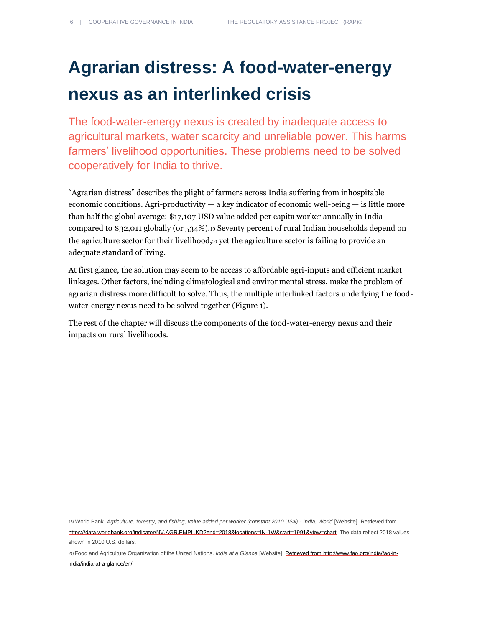# <span id="page-5-0"></span>**Agrarian distress: A food-water-energy nexus as an interlinked crisis**

The food-water-energy nexus is created by inadequate access to agricultural markets, water scarcity and unreliable power. This harms farmers' livelihood opportunities. These problems need to be solved cooperatively for India to thrive.

"Agrarian distress" describes the plight of farmers across India suffering from inhospitable economic conditions. Agri-productivity  $-$  a key indicator of economic well-being  $-$  is little more than half the global average: \$17,107 USD value added per capita worker annually in India compared to \$32,011 globally (or 534%).<sup>19</sup> Seventy percent of rural Indian households depend on the agriculture sector for their livelihood,  $20$  yet the agriculture sector is failing to provide an adequate standard of living.

At first glance, the solution may seem to be access to affordable agri-inputs and efficient market linkages. Other factors, including climatological and environmental stress, make the problem of agrarian distress more difficult to solve. Thus, the multiple interlinked factors underlying the foodwater-energy nexus need to be solved together (Figure 1).

The rest of the chapter will discuss the components of the food-water-energy nexus and their impacts on rural livelihoods.

19 World Bank. *Agriculture, forestry, and fishing, value added per worker (constant 2010 US\$) - India, World* [Website]. Retrieved from <https://data.worldbank.org/indicator/NV.AGR.EMPL.KD?end=2018&locations=IN-1W&start=1991&view=chart>The data reflect 2018 values shown in 2010 U.S. dollars.

20 Food and Agriculture Organization of the United Nations. *India at a Glance* [Website]. Retrieved from [http://www.fao.org/india/fao-in](http://www.fao.org/india/fao-in-india/india-at-a-glance/en/)[india/india-at-a-glance/en/](http://www.fao.org/india/fao-in-india/india-at-a-glance/en/)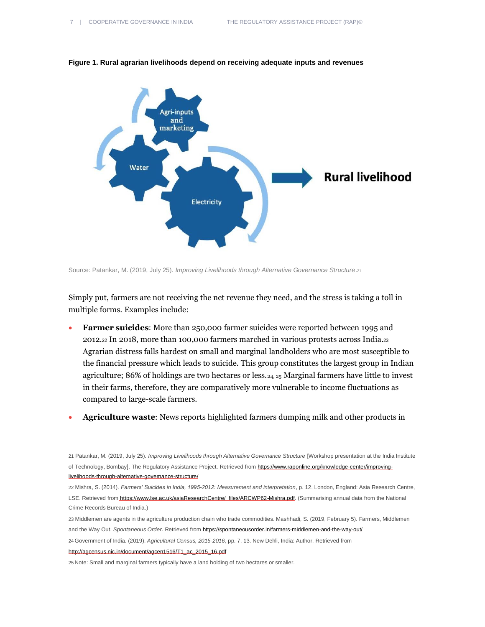

**Figure 1. Rural agrarian livelihoods depend on receiving adequate inputs and revenues**

Source: Patankar, M. (2019, July 25). *Improving Livelihoods through Alternative Governance Structure.*<sup>21</sup>

Simply put, farmers are not receiving the net revenue they need, and the stress is taking a toll in multiple forms. Examples include:

- **Farmer suicides**: More than 250,000 farmer suicides were reported between 1995 and 2012.<sup>22</sup> In 2018, more than 100,000 farmers marched in various protests across India.<sup>23</sup> Agrarian distress falls hardest on small and marginal landholders who are most susceptible to the financial pressure which leads to suicide. This group constitutes the largest group in Indian agriculture; 86% of holdings are two hectares or less.  $_{24, 25}$  Marginal farmers have little to invest in their farms, therefore, they are comparatively more vulnerable to income fluctuations as compared to large-scale farmers.
- **Agriculture waste**: News reports highlighted farmers dumping milk and other products in

22 Mishra, S. (2014). *Farmers' Suicides in India, 1995-2012: Measurement and interpretation*, p. 12. London, England: Asia Research Centre, LSE. Retrieved from [https://www.lse.ac.uk/asiaResearchCentre/\\_files/ARCWP62-Mishra.pdf.](https://www.lse.ac.uk/asiaResearchCentre/_files/ARCWP62-Mishra.pdf) (Summarising annual data from the National Crime Records Bureau of India.)

23 Middlemen are agents in the agriculture production chain who trade commodities. Mashhadi, S. (2019, February 5). Farmers, Middlemen and the Way Out. *Spontaneous Order*. Retrieved fro[m https://spontaneousorder.in/farmers-middlemen-and-the-way-out/](https://spontaneousorder.in/farmers-middlemen-and-the-way-out/)

24 Government of India. (2019). *Agricultural Census, 2015-2016*, pp. 7, 13. New Dehli, India: Author. Retrieved from

[http://agcensus.nic.in/document/agcen1516/T1\\_ac\\_2015\\_16.pdf](http://agcensus.nic.in/document/agcen1516/T1_ac_2015_16.pdf)

25 Note: Small and marginal farmers typically have a land holding of two hectares or smaller.

<sup>21</sup> Patankar, M. (2019, July 25). *Improving Livelihoods through Alternative Governance Structure* [Workshop presentation at the India Institute of Technology, Bombay]. The Regulatory Assistance Project. Retrieved from https://www.raponline.org/knowledge-center/improvinglivelihoods-through-alternative-governance-structure/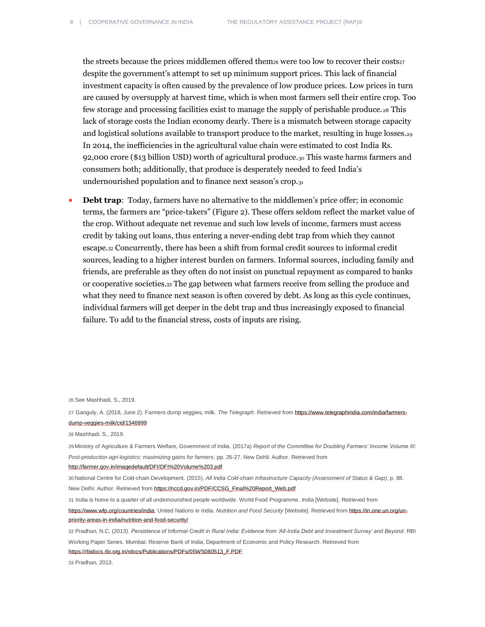the streets because the prices middlemen offered them<sub>26</sub> were too low to recover their costs<sub>27</sub> despite the government's attempt to set up minimum support prices. This lack of financial investment capacity is often caused by the prevalence of low produce prices. Low prices in turn are caused by oversupply at harvest time, which is when most farmers sell their entire crop. Too few storage and processing facilities exist to manage the supply of perishable produce.<sup>28</sup> This lack of storage costs the Indian economy dearly. There is a mismatch between storage capacity and logistical solutions available to transport produce to the market, resulting in huge losses.<sup>29</sup> In 2014, the inefficiencies in the agricultural value chain were estimated to cost India Rs. 92,000 crore (\$13 billion USD) worth of agricultural produce.<sub>30</sub> This waste harms farmers and consumers both; additionally, that produce is desperately needed to feed India's undernourished population and to finance next season's crop.<sub>31</sub>

**Debt trap:** Today, farmers have no alternative to the middlemen's price offer; in economic terms, the farmers are "price-takers" (Figure 2). These offers seldom reflect the market value of the crop. Without adequate net revenue and such low levels of income, farmers must access credit by taking out loans, thus entering a never-ending debt trap from which they cannot escape.<sup>32</sup> Concurrently, there has been a shift from formal credit sources to informal credit sources, leading to a higher interest burden on farmers. Informal sources, including family and friends, are preferable as they often do not insist on punctual repayment as compared to banks or cooperative societies.<sup>33</sup> The gap between what farmers receive from selling the produce and what they need to finance next season is often covered by debt. As long as this cycle continues, individual farmers will get deeper in the debt trap and thus increasingly exposed to financial failure. To add to the financial stress, costs of inputs are rising.

26 See Mashhadi, S., 2019.

27 Ganguly, A. (2018, June 2). Farmers dump veggies, milk. *The Telegraph*. Retrieved fro[m https://www.telegraphindia.com/india/farmers](https://www.telegraphindia.com/india/farmers-dump-veggies-milk/cid/1346999)[dump-veggies-milk/cid/1346999](https://www.telegraphindia.com/india/farmers-dump-veggies-milk/cid/1346999)

28 Mashhadi, S., 2019.

29 Ministry of Agriculture & Farmers Welfare, Government of India. (2017a) *Report of the Committee for Doubling Farmers' Income Volume III: Post-production agri-logistics: maximizing gains for farmers*, pp. 26-27. New Dehli: Author. Retrieved from

http://farmer.gov.in/imagedefault/DFI/DFI%20Volume%203.pdf

30 National Centre for Cold-chain Development. (2015). *All India Cold-chain Infrastructure Capacity (Assessment of Status & Gap)*, p. 88. New Delhi: Author. Retrieved fro[m https://nccd.gov.in/PDF/CCSG\\_Final%20Report\\_Web.pdf](https://nccd.gov.in/PDF/CCSG_Final%20Report_Web.pdf)

31 India is home to a quarter of all undernourished people worldwide. World Food Programme. *India* [Website]. Retrieved from

[https://www.wfp.org/countries/india;](https://www.wfp.org/countries/india) United Nations in India. *Nutrition and Food Security* [Website]. Retrieved fro[m https://in.one.un.org/un](https://in.one.un.org/un-priority-areas-in-india/nutrition-and-food-security/)[priority-areas-in-india/nutrition-and-food-security/](https://in.one.un.org/un-priority-areas-in-india/nutrition-and-food-security/)

32 Pradhan, N.C. (2013). *Persistence of Informal Credit in Rural India: Evidence from 'All-India Debt and Investment Survey' and Beyond*. RBI Working Paper Series. Mumbai: Reserve Bank of India, Department of Economic and Policy Research. Retrieved from [https://rbidocs.rbi.org.in/rdocs/Publications/PDFs/05WS080513\\_F.PDF](https://rbidocs.rbi.org.in/rdocs/Publications/PDFs/05WS080513_F.PDF)

33 Pradhan, 2013.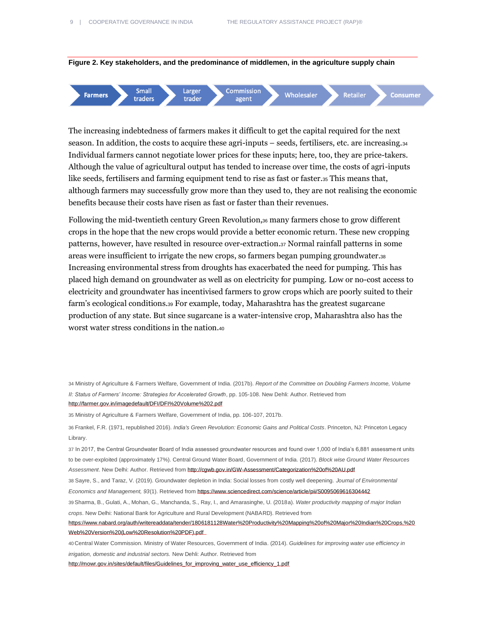



The increasing indebtedness of farmers makes it difficult to get the capital required for the next season. In addition, the costs to acquire these agri-inputs – seeds, fertilisers, etc. are increasing.<sup>34</sup> Individual farmers cannot negotiate lower prices for these inputs; here, too, they are price-takers. Although the value of agricultural output has tended to increase over time, the costs of agri-inputs like seeds, fertilisers and farming equipment tend to rise as fast or faster.<sup>35</sup> This means that, although farmers may successfully grow more than they used to, they are not realising the economic benefits because their costs have risen as fast or faster than their revenues.

Following the mid-twentieth century Green Revolution,<sup>36</sup> many farmers chose to grow different crops in the hope that the new crops would provide a better economic return. These new cropping patterns, however, have resulted in resource over-extraction.<sup>37</sup> Normal rainfall patterns in some areas were insufficient to irrigate the new crops, so farmers began pumping groundwater.<sup>38</sup> Increasing environmental stress from droughts has exacerbated the need for pumping. This has placed high demand on groundwater as well as on electricity for pumping. Low or no-cost access to electricity and groundwater has incentivised farmers to grow crops which are poorly suited to their farm's ecological conditions.<sup>39</sup> For example, today, Maharashtra has the greatest sugarcane production of any state. But since sugarcane is a water-intensive crop, Maharashtra also has the worst water stress conditions in the nation.<sup>40</sup>

34 Ministry of Agriculture & Farmers Welfare, Government of India. (2017b). *Report of the Committee on Doubling Farmers Income, Volume II: Status of Farmers' Income: Strategies for Accelerated Growth*, pp. 105-108. New Dehli: Author. Retrieved from <http://farmer.gov.in/imagedefault/DFI/DFI%20Volume%202.pdf>

35 Ministry of Agriculture & Farmers Welfare, Government of India, pp. 106-107, 2017b.

36 Frankel, F.R. (1971, republished 2016). *India's Green Revolution: Economic Gains and Political Costs*. Princeton, NJ: Princeton Legacy Library.

37 In 2017, the Central Groundwater Board of India assessed groundwater resources and found over 1,000 of India's 6,881 assessment units to be over-exploited (approximately 17%). Central Ground Water Board, Government of India. (2017). *Block wise Ground Water Resources Assessment*. New Delhi: Author. Retrieved fro[m http://cgwb.gov.in/GW-Assessment/Categorization%20of%20AU.pdf](http://cgwb.gov.in/GW-Assessment/Categorization%20of%20AU.pdf)

38 Sayre, S., and Taraz, V. (2019). Groundwater depletion in India: Social losses from costly well deepening. *Journal of Environmental Economics and Management, 93*(1). Retrieved fro[m https://www.sciencedirect.com/science/article/pii/S0095069616304442](https://www.sciencedirect.com/science/article/pii/S0095069616304442)

39 Sharma, B., Gulati, A., Mohan, G., Manchanda, S., Ray, I., and Amarasinghe, U. (2018a). *Water productivity mapping of major Indian crops*. New Delhi: National Bank for Agriculture and Rural Development (NABARD). Retrieved from

[https://www.nabard.org/auth/writereaddata/tender/1806181128Water%20Productivity%20Mapping%20of%20Major%20Indian%20Crops,%20](https://www.nabard.org/auth/writereaddata/tender/1806181128Water%20Productivity%20Mapping%20of%20Major%20Indian%20Crops,%20Web%20Version%20(Low%20Resolution%20PDF).pdf) [Web%20Version%20\(Low%20Resolution%20PDF\).pdf](https://www.nabard.org/auth/writereaddata/tender/1806181128Water%20Productivity%20Mapping%20of%20Major%20Indian%20Crops,%20Web%20Version%20(Low%20Resolution%20PDF).pdf) 

40 Central Water Commission. Ministry of Water Resources, Government of India. (2014). *Guidelines for improving water use efficiency in irrigation, domestic and industrial sectors.* New Dehli: Author. Retrieved from

http://mowr.gov.in/sites/default/files/Guidelines\_for\_improving\_water\_use\_efficiency\_1.pdf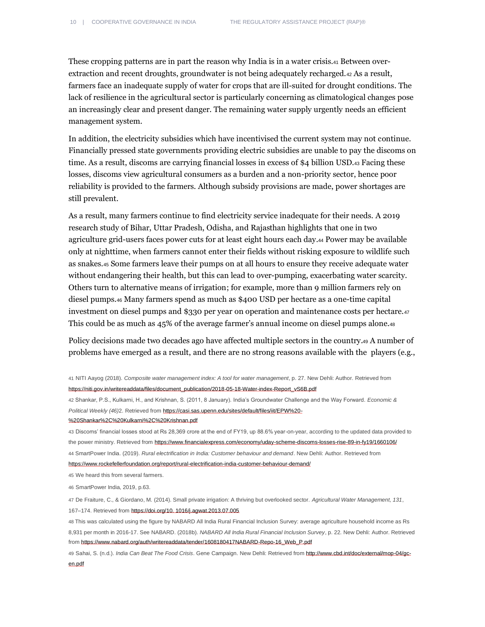These cropping patterns are in part the reason why India is in a water crisis.<sup>41</sup> Between overextraction and recent droughts, groundwater is not being adequately recharged.<sup>42</sup> As a result, farmers face an inadequate supply of water for crops that are ill-suited for drought conditions. The lack of resilience in the agricultural sector is particularly concerning as climatological changes pose an increasingly clear and present danger. The remaining water supply urgently needs an efficient management system.

In addition, the electricity subsidies which have incentivised the current system may not continue. Financially pressed state governments providing electric subsidies are unable to pay the discoms on time. As a result, discoms are carrying financial losses in excess of \$4 billion USD.<sup>43</sup> Facing these losses, discoms view agricultural consumers as a burden and a non-priority sector, hence poor reliability is provided to the farmers. Although subsidy provisions are made, power shortages are still prevalent.

As a result, many farmers continue to find electricity service inadequate for their needs. A 2019 research study of Bihar, Uttar Pradesh, Odisha, and Rajasthan highlights that one in two agriculture grid-users faces power cuts for at least eight hours each day.<sup>44</sup> Power may be available only at nighttime, when farmers cannot enter their fields without risking exposure to wildlife such as snakes.<sup>45</sup> Some farmers leave their pumps on at all hours to ensure they receive adequate water without endangering their health, but this can lead to over-pumping, exacerbating water scarcity. Others turn to alternative means of irrigation; for example, more than 9 million farmers rely on diesel pumps.<sup>46</sup> Many farmers spend as much as \$400 USD per hectare as a one-time capital investment on diesel pumps and \$330 per year on operation and maintenance costs per hectare.<sup>47</sup> This could be as much as 45% of the average farmer's annual income on diesel pumps alone.<sup>48</sup>

Policy decisions made two decades ago have affected multiple sectors in the country.<sup>49</sup> A number of problems have emerged as a result, and there are no strong reasons available with the players (e.g.,

45 We heard this from several farmers.

46 SmartPower India, 2019, p.63.

47 De Fraiture, C., & Giordano, M. (2014). Small private irrigation: A thriving but overlooked sector. *Agricultural Water Management, 131*, 167–174. Retrieved fro[m https://doi.org/10. 1016/j.agwat.2013.07.005](https://doi.org/10.%201016/j.agwat.2013.07.005)

48 This was calculated using the figure by NABARD All India Rural Financial Inclusion Survey: average agriculture household income as Rs 8,931 per month in 2016-17. See NABARD. (2018b). *NABARD All India Rural Financial Inclusion Survey*, p. 22. New Dehli: Author. Retrieved fro[m https://www.nabard.org/auth/writereaddata/tender/1608180417NABARD-Repo-16\\_Web\\_P.pdf](https://www.nabard.org/auth/writereaddata/tender/1608180417NABARD-Repo-16_Web_P.pdf)

49 Sahai, S. (n.d.). *India Can Beat The Food Crisis*. Gene Campaign. New Dehli: Retrieved fro[m http://www.cbd.int/doc/external/mop-04/gc](http://www.cbd.int/doc/external/mop-04/gc-en.pdf)[en.pdf](http://www.cbd.int/doc/external/mop-04/gc-en.pdf)

<sup>41</sup> NITI Aayog (2018). *Composite water management index: A tool for water management*, p. 27. New Dehli: Author. Retrieved from [https://niti.gov.in/writereaddata/files/document\\_publication/2018-05-18-Water-index-Report\\_vS6B.pdf](https://niti.gov.in/writereaddata/files/document_publication/2018-05-18-Water-index-Report_vS6B.pdf)

<sup>42</sup> Shankar, P.S., Kulkarni, H., and Krishnan, S. (2011, 8 January). India's Groundwater Challenge and the Way Forward*. Economic & Political Weekly (46)*2. Retrieved fro[m https://casi.sas.upenn.edu/sites/default/files/iit/EPW%20-](https://casi.sas.upenn.edu/sites/default/files/iit/EPW%20-%20Shankar%2C%20Kulkarni%2C%20Krishnan.pdf)

[<sup>%20</sup>Shankar%2C%20Kulkarni%2C%20Krishnan.pdf](https://casi.sas.upenn.edu/sites/default/files/iit/EPW%20-%20Shankar%2C%20Kulkarni%2C%20Krishnan.pdf)

<sup>43</sup> Discoms' financial losses stood at Rs 28,369 crore at the end of FY19, up 88.6% year-on-year, according to the updated data provided to the power ministry. Retrieved from https://www.financialexpress.com/economy/uday-scheme-discoms-losses-rise-89-in-fy19/1660106/ 44 SmartPower India. (2019). *Rural electrification in India: Customer behaviour and demand*. New Dehli: Author. Retrieved from https://www.rockefellerfoundation.org/report/rural-electrification-india-customer-behaviour-demand/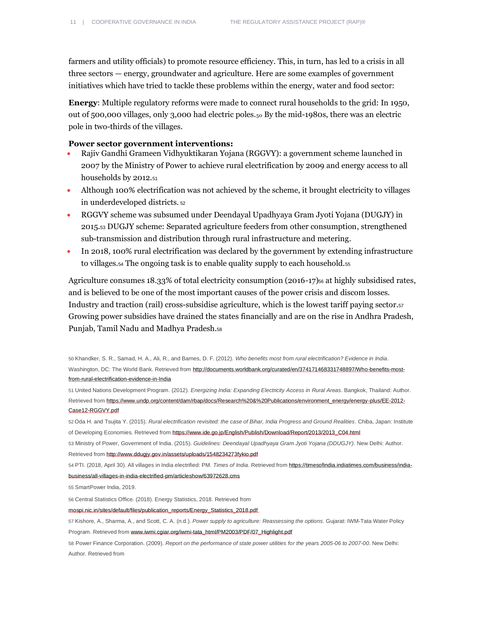farmers and utility officials) to promote resource efficiency. This, in turn, has led to a crisis in all three sectors — energy, groundwater and agriculture. Here are some examples of government initiatives which have tried to tackle these problems within the energy, water and food sector:

**Energy**: Multiple regulatory reforms were made to connect rural households to the grid: In 1950, out of 500,000 villages, only 3,000 had electric poles.<sup>50</sup> By the mid-1980s, there was an electric pole in two-thirds of the villages.

#### **Power sector government interventions:**

- Rajiv Gandhi Grameen Vidhyuktikaran Yojana (RGGVY): a government scheme launched in 2007 by the Ministry of Power to achieve rural electrification by 2009 and energy access to all households by 2012.<sup>51</sup>
- Although 100% electrification was not achieved by the scheme, it brought electricity to villages in underdeveloped districts. <sup>52</sup>
- RGGVY scheme was subsumed under Deendayal Upadhyaya Gram Jyoti Yojana (DUGJY) in 2015.<sup>53</sup> DUGJY scheme: Separated agriculture feeders from other consumption, strengthened sub-transmission and distribution through rural infrastructure and metering.
- In 2018, 100% rural electrification was declared by the government by extending infrastructure to villages.<sup>54</sup> The ongoing task is to enable quality supply to each household.<sup>55</sup>

Agriculture consumes 18.33% of total electricity consumption (2016-17)<sup>56</sup> at highly subsidised rates, and is believed to be one of the most important causes of the power crisis and discom losses. Industry and traction (rail) cross-subsidise agriculture, which is the lowest tariff paying sector.<sup>57</sup> Growing power subsidies have drained the states financially and are on the rise in Andhra Pradesh, Punjab, Tamil Nadu and Madhya Pradesh.<sup>58</sup>

50 Khandker, S. R., Samad, H. A., Ali, R., and Barnes, D. F. (2012). *Who benefits most from rural electrification? Evidence in India*. Washington, DC: The World Bank. Retrieved from http://documents.worldbank.org/curated/en/374171468331748897/Who-benefits-mostfrom-rural-electrification-evidence-in-India

51 United Nations Development Program. (2012). *Energizing India: Expanding Electricity Access in Rural Areas*. Bangkok, Thailand: Author. Retrieved from https://www.undp.org/content/dam/rbap/docs/Research%20&%20Publications/environment\_energy/energy-plus/EE-2012- Case12-RGGVY.pdf

52 Oda H. and Tsujita Y. (2015). *Rural electrification revisited: the case of Bihar, India Progress and Ground Realities*. Chiba, Japan: Institute of Developing Economies. Retrieved from https://www.ide.go.jp/English/Publish/Download/Report/2013/2013\_C04.html

53 Ministry of Power, Government of India. (2015). *Guidelines: Deendayal Upadhyaya Gram Jyoti Yojana (DDUGJY)*. New Delhi: Author. Retrieved fro[m http://www.ddugjy.gov.in/assets/uploads/1548234273fykio.pdf](http://www.ddugjy.gov.in/assets/uploads/1548234273fykio.pdf)

54 PTI. (2018, April 30). All villages in India electrified: PM. *Times of India*. Retrieved from https://timesofindia.indiatimes.com/business/indiabusiness/all-villages-in-india-electrified-pm/articleshow/63972628.cms

55 SmartPower India, 2019.

56 Central Statistics Office. (2018). Energy Statistics, 2018. Retrieved from

mospi.nic.in/sites/default/files/publication\_reports/Energy\_Statistics\_2018.pdf

57 Kishore, A., Sharma, A., and Scott, C. A. (n.d.). *Power supply to agriculture: Reassessing the options*. Gujarat: IWM-Tata Water Policy Program. Retrieved fro[m www.iwmi.cgiar.org/iwmi-tata\\_html/PM2003/PDF/07\\_Highlight.pdf](http://www.iwmi.cgiar.org/iwmi-tata_html/PM2003/PDF/07_Highlight.pdf)

<sup>58</sup> Power Finance Corporation. (2009). *Report on the performance of state power utilities for the years 2005-06 to 2007-00*. New Delhi: Author. Retrieved from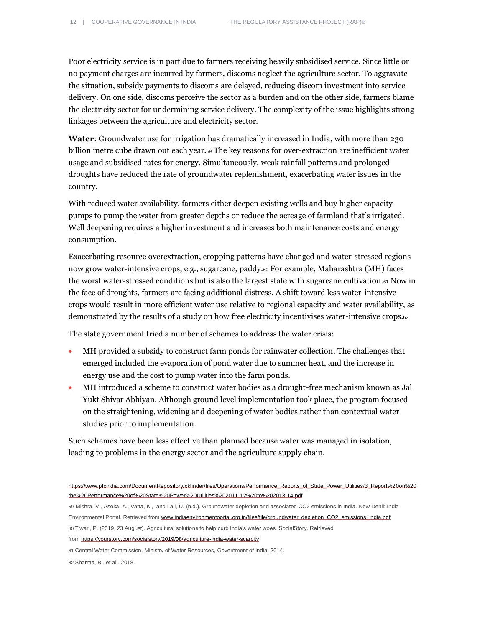Poor electricity service is in part due to farmers receiving heavily subsidised service. Since little or no payment charges are incurred by farmers, discoms neglect the agriculture sector. To aggravate the situation, subsidy payments to discoms are delayed, reducing discom investment into service delivery. On one side, discoms perceive the sector as a burden and on the other side, farmers blame the electricity sector for undermining service delivery. The complexity of the issue highlights strong linkages between the agriculture and electricity sector.

**Water**: Groundwater use for irrigation has dramatically increased in India, with more than 230 billion metre cube drawn out each year.<sup>59</sup> The key reasons for over-extraction are inefficient water usage and subsidised rates for energy. Simultaneously, weak rainfall patterns and prolonged droughts have reduced the rate of groundwater replenishment, exacerbating water issues in the country.

With reduced water availability, farmers either deepen existing wells and buy higher capacity pumps to pump the water from greater depths or reduce the acreage of farmland that's irrigated. Well deepening requires a higher investment and increases both maintenance costs and energy consumption.

Exacerbating resource overextraction, cropping patterns have changed and water-stressed regions now grow water-intensive crops, e.g., sugarcane, paddy.<sup>60</sup> For example, Maharashtra (MH) faces the worst water-stressed conditions but is also the largest state with sugarcane cultivation.<sup>61</sup> Now in the face of droughts, farmers are facing additional distress. A shift toward less water-intensive crops would result in more efficient water use relative to regional capacity and water availability, as demonstrated by the results of a study on how free electricity incentivises water-intensive crops.<sup>62</sup>

The state government tried a number of schemes to address the water crisis:

- MH provided a subsidy to construct farm ponds for rainwater collection. The challenges that emerged included the evaporation of pond water due to summer heat, and the increase in energy use and the cost to pump water into the farm ponds.
- MH introduced a scheme to construct water bodies as a drought-free mechanism known as Jal Yukt Shivar Abhiyan. Although ground level implementation took place, the program focused on the straightening, widening and deepening of water bodies rather than contextual water studies prior to implementation.

Such schemes have been less effective than planned because water was managed in isolation, leading to problems in the energy sector and the agriculture supply chain.

59 Mishra, V., Asoka, A., Vatta, K., and Lall, U. (n.d.). Groundwater depletion and associated CO2 emissions in India. New Dehli: India Environmental Portal. Retrieved fro[m www.indiaenvironmentportal.org.in/files/file/groundwater\\_depletion\\_CO2\\_emissions\\_India.pdf](http://www.indiaenvironmentportal.org.in/files/file/groundwater_depletion_CO2_emissions_India.pdf)

60 Tiwari, P. (2019, 23 August). Agricultural solutions to help curb India's water woes. SocialStory. Retrieved

from <https://yourstory.com/socialstory/2019/08/agriculture-india-water-scarcity>

61 Central Water Commission. Ministry of Water Resources, Government of India, 2014.

62 Sharma, B., et al., 2018.

https://www.pfcindia.com/DocumentRepository/ckfinder/files/Operations/Performance\_Reports\_of\_State\_Power\_Utilities/3\_Report%20on%20 the%20Performance%20of%20State%20Power%20Utilities%202011-12%20to%202013-14.pdf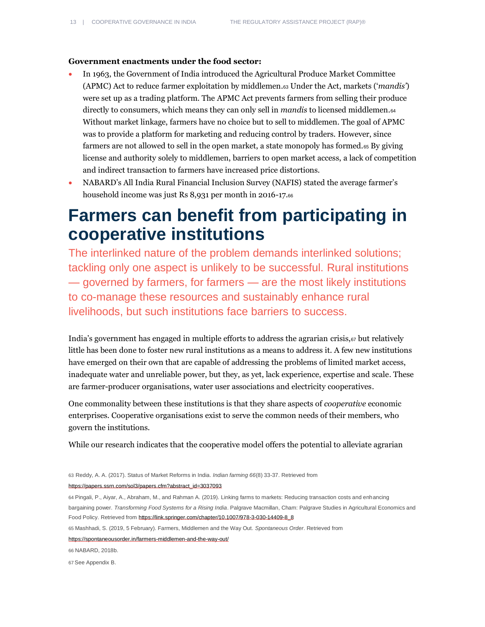### **Government enactments under the food sector:**

- In 1963, the Government of India introduced the Agricultural Produce Market Committee (APMC) Act to reduce farmer exploitation by middlemen.<sup>63</sup> Under the Act, markets ('*mandis'*) were set up as a trading platform. The APMC Act prevents farmers from selling their produce directly to consumers, which means they can only sell in *mandis* to licensed middlemen.<sup>64</sup> Without market linkage, farmers have no choice but to sell to middlemen. The goal of APMC was to provide a platform for marketing and reducing control by traders. However, since farmers are not allowed to sell in the open market, a state monopoly has formed.<sup>65</sup> By giving license and authority solely to middlemen, barriers to open market access, a lack of competition and indirect transaction to farmers have increased price distortions.
- NABARD's All India Rural Financial Inclusion Survey (NAFIS) stated the average farmer's household income was just Rs 8,931 per month in 2016-17.<sup>66</sup>

# <span id="page-12-0"></span>**Farmers can benefit from participating in cooperative institutions**

The interlinked nature of the problem demands interlinked solutions; tackling only one aspect is unlikely to be successful. Rural institutions — governed by farmers, for farmers — are the most likely institutions to co-manage these resources and sustainably enhance rural livelihoods, but such institutions face barriers to success.

India's government has engaged in multiple efforts to address the agrarian crisis, $\sigma$  but relatively little has been done to foster new rural institutions as a means to address it. A few new institutions have emerged on their own that are capable of addressing the problems of limited market access, inadequate water and unreliable power, but they, as yet, lack experience, expertise and scale. These are farmer-producer organisations, water user associations and electricity cooperatives.

One commonality between these institutions is that they share aspects of *cooperative* economic enterprises. Cooperative organisations exist to serve the common needs of their members, who govern the institutions.

While our research indicates that the cooperative model offers the potential to alleviate agrarian

63 Reddy, A. A. (2017). Status of Market Reforms in India. *Indian farming 66*(8) 33-37. Retrieved from [https://papers.ssrn.com/sol3/papers.cfm?abstract\\_id=3037093](https://papers.ssrn.com/sol3/papers.cfm?abstract_id=3037093)

64 Pingali, P., Aiyar, A., Abraham, M., and Rahman A. (2019). Linking farms to markets: Reducing transaction costs and enhancing bargaining power. *Transforming Food Systems for a Rising India*. Palgrave Macmillan, Cham: Palgrave Studies in Agricultural Economics and Food Policy. Retrieved fro[m https://link.springer.com/chapter/10.1007/978-3-030-14409-8\\_8](https://link.springer.com/chapter/10.1007/978-3-030-14409-8_8)

65 Mashhadi, S. (2019, 5 February). Farmers, Middlemen and the Way Out. *Spontaneous Order*. Retrieved from

<https://spontaneousorder.in/farmers-middlemen-and-the-way-out/>

66 NABARD, 2018b.

67 See Appendix B.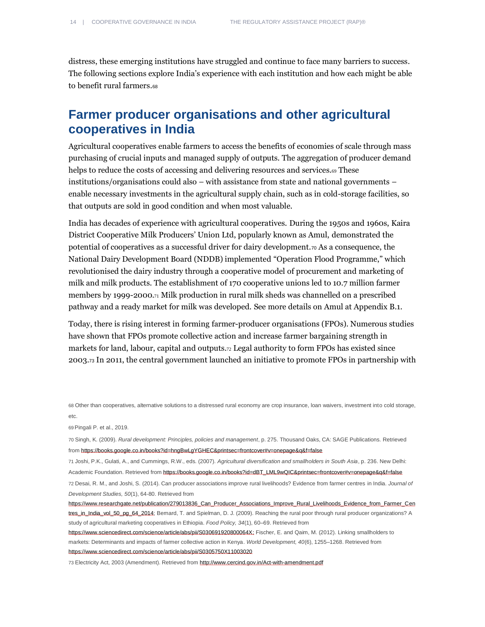distress, these emerging institutions have struggled and continue to face many barriers to success. The following sections explore India's experience with each institution and how each might be able to benefit rural farmers.<sup>68</sup>

### <span id="page-13-0"></span>**Farmer producer organisations and other agricultural cooperatives in India**

Agricultural cooperatives enable farmers to access the benefits of economies of scale through mass purchasing of crucial inputs and managed supply of outputs. The aggregation of producer demand helps to reduce the costs of accessing and delivering resources and services.<sup>69</sup> These institutions/organisations could also – with assistance from state and national governments – enable necessary investments in the agricultural supply chain, such as in cold-storage facilities, so that outputs are sold in good condition and when most valuable.

India has decades of experience with agricultural cooperatives. During the 1950s and 1960s, Kaira District Cooperative Milk Producers' Union Ltd, popularly known as Amul, demonstrated the potential of cooperatives as a successful driver for dairy development. $\tau_0$  As a consequence, the National Dairy Development Board (NDDB) implemented "Operation Flood Programme," which revolutionised the dairy industry through a cooperative model of procurement and marketing of milk and milk products. The establishment of 170 cooperative unions led to 10.7 million farmer members by 1999-2000.<sup>71</sup> Milk production in rural milk sheds was channelled on a prescribed pathway and a ready market for milk was developed. See more details on Amul at Appendix B.1.

Today, there is rising interest in forming farmer-producer organisations (FPOs). Numerous studies have shown that FPOs promote collective action and increase farmer bargaining strength in markets for land, labour, capital and outputs.<sup>72</sup> Legal authority to form FPOs has existed since 2003.<sup>73</sup> In 2011, the central government launched an initiative to promote FPOs in partnership with

69 Pingali P. et al., 2019.

73 Electricity Act, 2003 (Amendment). Retrieved fro[m http://www.cercind.gov.in/Act-with-amendment.pdf](http://www.cercind.gov.in/Act-with-amendment.pdf)

<sup>68</sup> Other than cooperatives, alternative solutions to a distressed rural economy are crop insurance, loan waivers, investment into cold storage, etc.

<sup>70</sup> Singh, K. (2009). *Rural development: Principles, policies and management*, p. 275. Thousand Oaks, CA: SAGE Publications. Retrieved fro[m https://books.google.co.in/books?id=hngBwLgYGHEC&printsec=frontcover#v=onepage&q&f=false](https://books.google.co.in/books?id=hngBwLgYGHEC&printsec=frontcover#v=onepage&q&f=false)

<sup>71</sup> Joshi, P.K., Gulati, A., and Cummings, R.W., eds. (2007). *Agricultural diversification and smallholders in South Asia*, p. 236. New Delhi: Academic Foundation. Retrieved fro[m https://books.google.co.in/books?id=dBT\\_LML9wQIC&printsec=frontcover#v=onepage&q&f=false](https://books.google.co.in/books?id=dBT_LML9wQIC&printsec=frontcover#v=onepage&q&f=false)

<sup>72</sup> Desai, R. M., and Joshi, S. (2014). Can producer associations improve rural livelihoods? Evidence from farmer centres in India. *Journal of Development Studies, 50*(1), 64-80. Retrieved from

https://www.researchgate.net/publication/279013836\_Can\_Producer\_Associations\_Improve\_Rural\_Livelihoods\_Evidence\_from\_Farmer\_Cen tres\_in\_India\_vol\_50\_pg\_64\_2014; Bernard, T. and Spielman, D. J. (2009). Reaching the rural poor through rural producer organizations? A study of agricultural marketing cooperatives in Ethiopia. *Food Policy, 34*(1), 60–69. Retrieved from

[https://www.sciencedirect.com/science/article/abs/pii/S030691920800064X;](https://www.sciencedirect.com/science/article/abs/pii/S030691920800064X) Fischer, E. and Qaim, M. (2012). Linking smallholders to markets: Determinants and impacts of farmer collective action in Kenya. *World Development, 40*(6), 1255–1268. Retrieved from https://www.sciencedirect.com/science/article/abs/pii/S0305750X11003020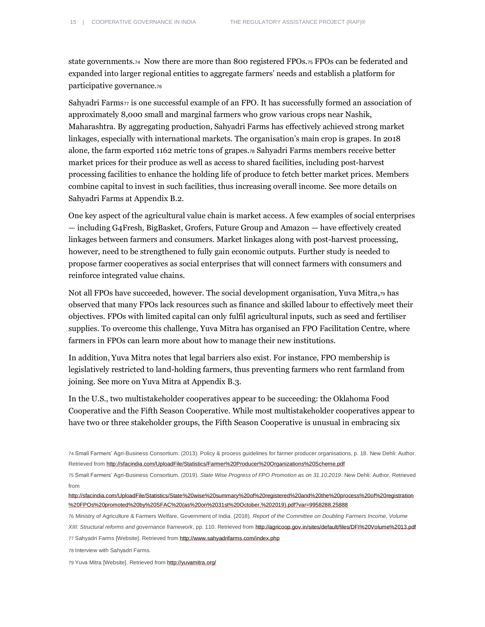state governments.74 Now there are more than 800 registered FPOs.<sup>75</sup> FPOs can be federated and expanded into larger regional entities to aggregate farmers' needs and establish a platform for participative governance.<sup>76</sup>

Sahyadri Farms $\pi$  is one successful example of an FPO. It has successfully formed an association of approximately 8,000 small and marginal farmers who grow various crops near Nashik, Maharashtra. By aggregating production, Sahyadri Farms has effectively achieved strong market linkages, especially with international markets. The organisation's main crop is grapes. In 2018 alone, the farm exported 1162 metric tons of grapes.<sup>78</sup> Sahyadri Farms members receive better market prices for their produce as well as access to shared facilities, including post-harvest processing facilities to enhance the holding life of produce to fetch better market prices. Members combine capital to invest in such facilities, thus increasing overall income. See more details on Sahyadri Farms at Appendix B.2.

One key aspect of the agricultural value chain is market access. A few examples of social enterprises — including G4Fresh, BigBasket, Grofers, Future Group and Amazon — have effectively created linkages between farmers and consumers. Market linkages along with post-harvest processing, however, need to be strengthened to fully gain economic outputs. Further study is needed to propose farmer cooperatives as social enterprises that will connect farmers with consumers and reinforce integrated value chains.

Not all FPOs have succeeded, however. The social development organisation, Yuva Mitra,<sup>79</sup> has observed that many FPOs lack resources such as finance and skilled labour to effectively meet their objectives. FPOs with limited capital can only fulfil agricultural inputs, such as seed and fertiliser supplies. To overcome this challenge, Yuva Mitra has organised an FPO Facilitation Centre, where farmers in FPOs can learn more about how to manage their new institutions.

In addition, Yuva Mitra notes that legal barriers also exist. For instance, FPO membership is legislatively restricted to land-holding farmers, thus preventing farmers who rent farmland from joining. See more on Yuva Mitra at Appendix B.3.

In the U.S., two multistakeholder cooperatives appear to be succeeding: the Oklahoma Food Cooperative and the Fifth Season Cooperative. While most multistakeholder cooperatives appear to have two or three stakeholder groups, the Fifth Season Cooperative is unusual in embracing six

77 Sahyadri Farms [Website]. Retrieved fro[m http://www.sahyadrifarms.com/index.php](http://www.sahyadrifarms.com/index.php)

78 Interview with Sahyadri Farms.

79 Yuva Mitra [Website]. Retrieved fro[m http://yuvamitra.org/](http://yuvamitra.org/)

<sup>74</sup> Small Farmers' Agri-Business Consortium. (2013). Policy & process guidelines for farmer producer organisations, p. 18. New Dehli: Author. Retrieved fro[m http://sfacindia.com/UploadFile/Statistics/Farmer%20Producer%20Organizations%20Scheme.pdf](http://sfacindia.com/UploadFile/Statistics/Farmer%20Producer%20Organizations%20Scheme.pdf)

<sup>75</sup> Small Farmers' Agri-Business Consortium. (2019). *State Wise Progress of FPO Promotion as on 31.10.2019*. New Dehli: Author. Retrieved from

[http://sfacindia.com/UploadFile/Statistics/State%20wise%20summary%20of%20registered%20and%20the%20process%20of%20registration](http://sfacindia.com/UploadFile/Statistics/State%20wise%20summary%20of%20registered%20and%20the%20process%20of%20registration%20FPOs%20promoted%20by%20SFAC%20(as%20on%2031st%20October,%202019).pdf?var=9958288.25888) [%20FPOs%20promoted%20by%20SFAC%20\(as%20on%2031st%20October,%202019\).pdf?var=9958288.25888](http://sfacindia.com/UploadFile/Statistics/State%20wise%20summary%20of%20registered%20and%20the%20process%20of%20registration%20FPOs%20promoted%20by%20SFAC%20(as%20on%2031st%20October,%202019).pdf?var=9958288.25888)

<sup>76</sup> Ministry of Agriculture & Farmers Welfare, Government of India. (2018). *Report of the Committee on Doubling Farmers Income, Volume XIII: Structural reforms and governance framework*, pp. 110. Retrieved from http://agricoop.gov.in/sites/default/files/DFI%20Volume%2013.pdf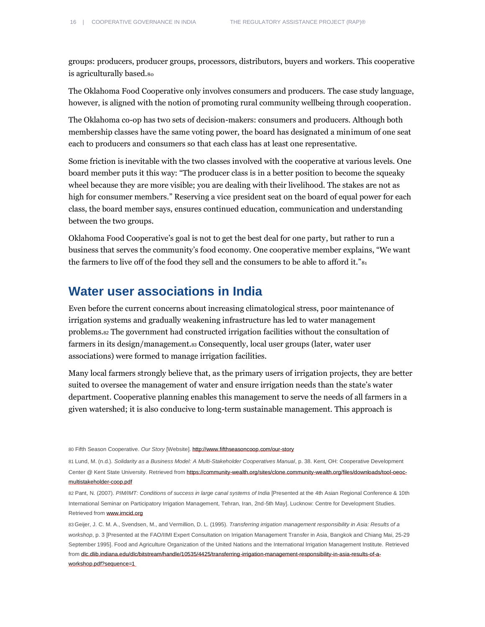groups: producers, producer groups, processors, distributors, buyers and workers. This cooperative is agriculturally based.<sup>80</sup>

The Oklahoma Food Cooperative only involves consumers and producers. The case study language, however, is aligned with the notion of promoting rural community wellbeing through cooperation.

The Oklahoma co-op has two sets of decision-makers: consumers and producers. Although both membership classes have the same voting power, the board has designated a minimum of one seat each to producers and consumers so that each class has at least one representative.

Some friction is inevitable with the two classes involved with the cooperative at various levels. One board member puts it this way: "The producer class is in a better position to become the squeaky wheel because they are more visible; you are dealing with their livelihood. The stakes are not as high for consumer members." Reserving a vice president seat on the board of equal power for each class, the board member says, ensures continued education, communication and understanding between the two groups.

Oklahoma Food Cooperative's goal is not to get the best deal for one party, but rather to run a business that serves the community's food economy. One cooperative member explains, "We want the farmers to live off of the food they sell and the consumers to be able to afford it."<sup>81</sup>

### <span id="page-15-0"></span>**Water user associations in India**

Even before the current concerns about increasing climatological stress, poor maintenance of irrigation systems and gradually weakening infrastructure has led to water management problems.<sup>82</sup> The government had constructed irrigation facilities without the consultation of farmers in its design/management.<sup>83</sup> Consequently, local user groups (later, water user associations) were formed to manage irrigation facilities.

Many local farmers strongly believe that, as the primary users of irrigation projects, they are better suited to oversee the management of water and ensure irrigation needs than the state's water department. Cooperative planning enables this management to serve the needs of all farmers in a given watershed; it is also conducive to long-term sustainable management. This approach is

80 Fifth Season Cooperative. *Our Story* [Website][. http://www.fifthseasoncoop.com/our-story](http://www.fifthseasoncoop.com/our-story)

81 Lund, M. (n.d.). *Solidarity as a Business Model: A Multi-Stakeholder Cooperatives Manual*, p. 38. Kent, OH: Cooperative Development Center @ Kent State University. Retrieved from https://community-wealth.org/sites/clone.community-wealth.org/files/downloads/tool-oeocmultistakeholder-coop.pdf

82 Pant, N. (2007). *PIM/IMT: Conditions of success in large canal systems of India* [Presented at the 4th Asian Regional Conference & 10th International Seminar on Participatory Irrigation Management, Tehran, Iran, 2nd-5th May]. Lucknow: Centre for Development Studies. Retrieved from www.irncid.org

83 Geijer, J. C. M. A., Svendsen, M., and Vermillion, D. L. (1995). *Transferring irrigation management responsibility in Asia: Results of a workshop*, p. 3 [Presented at the FAO/IIMI Expert Consultation on Irrigation Management Transfer in Asia, Bangkok and Chiang Mai, 25-29 September 1995]. Food and Agriculture Organization of the United Nations and the International Irrigation Management Institute. Retrieved from dlc.dlib.indiana.edu/dlc/bitstream/handle/10535/4425/transferring-irrigation-management-responsibility-in-asia-results-of-aworkshop.pdf?sequence=1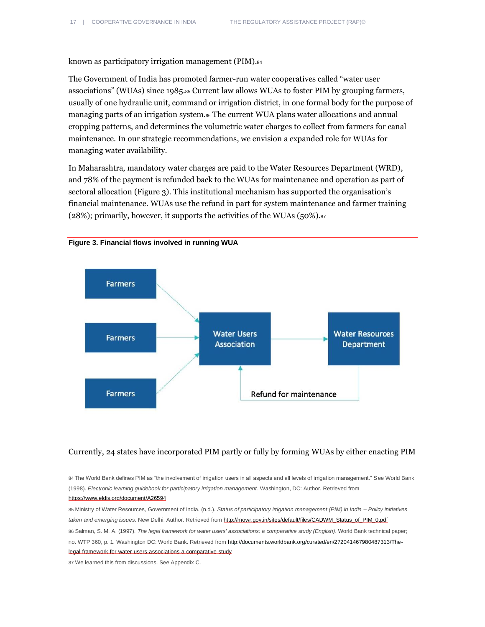known as participatory irrigation management (PIM).<sup>84</sup>

The Government of India has promoted farmer-run water cooperatives called "water user associations" (WUAs) since 1985.<sup>85</sup> Current law allows WUAs to foster PIM by grouping farmers, usually of one hydraulic unit, command or irrigation district, in one formal body for the purpose of managing parts of an irrigation system.<sup>86</sup> The current WUA plans water allocations and annual cropping patterns, and determines the volumetric water charges to collect from farmers for canal maintenance. In our strategic recommendations, we envision a expanded role for WUAs for managing water availability.

In Maharashtra, mandatory water charges are paid to the Water Resources Department (WRD), and 78% of the payment is refunded back to the WUAs for maintenance and operation as part of sectoral allocation (Figure 3). This institutional mechanism has supported the organisation's financial maintenance. WUAs use the refund in part for system maintenance and farmer training (28%); primarily, however, it supports the activities of the WUAs (50%).<sup>87</sup>



**Figure 3. Financial flows involved in running WUA**

### Currently, 24 states have incorporated PIM partly or fully by forming WUAs by either enacting PIM

84 The World Bank defines PIM as "the involvement of irrigation users in all aspects and all levels of irrigation management." See World Bank (1998). *Electronic learning guidebook for participatory irrigation management*. Washington, DC: Author. Retrieved from https://www.eldis.org/document/A26594

85 Ministry of Water Resources, Government of India. (n.d.). *Status of participatory irrigation management (PIM) in India – Policy initiatives taken and emerging issues*. New Delhi: Author. Retrieved fro[m http://mowr.gov.in/sites/default/files/CADWM\\_Status\\_of\\_PIM\\_0.pdf](http://mowr.gov.in/sites/default/files/CADWM_Status_of_PIM_0.pdf) 86 Salman, S. M. A. (1997). *The legal framework for water users' associations: a comparative study (English)*. World Bank technical paper; no. WTP 360, p. 1. Washington DC: World Bank. Retrieved fro[m http://documents.worldbank.org/curated/en/272041467980487313/The](http://documents.worldbank.org/curated/en/272041467980487313/The-legal-framework-for-water-users-associations-a-comparative-study)[legal-framework-for-water-users-associations-a-comparative-study](http://documents.worldbank.org/curated/en/272041467980487313/The-legal-framework-for-water-users-associations-a-comparative-study)

87 We learned this from discussions. See Appendix C.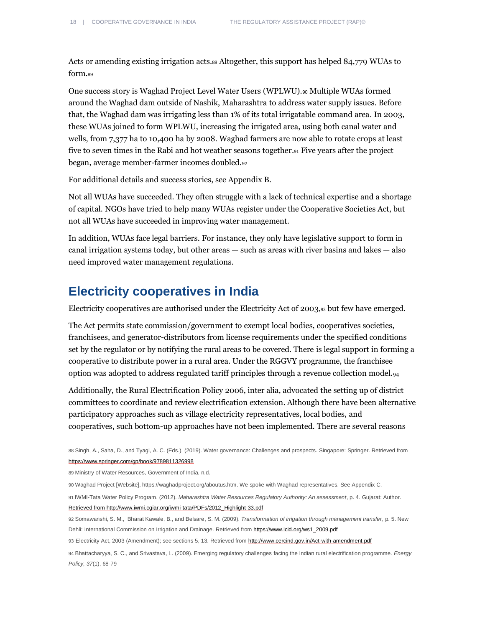Acts or amending existing irrigation acts.<sup>88</sup> Altogether, this support has helped 84,779 WUAs to form.<sup>89</sup>

One success story is Waghad Project Level Water Users (WPLWU).<sup>90</sup> Multiple WUAs formed around the Waghad dam outside of Nashik, Maharashtra to address water supply issues. Before that, the Waghad dam was irrigating less than 1% of its total irrigatable command area. In 2003, these WUAs joined to form WPLWU, increasing the irrigated area, using both canal water and wells, from 7,377 ha to 10,400 ha by 2008. Waghad farmers are now able to rotate crops at least five to seven times in the Rabi and hot weather seasons together.<sup>91</sup> Five years after the project began, average member-farmer incomes doubled.<sup>92</sup>

For additional details and success stories, see Appendix B.

Not all WUAs have succeeded. They often struggle with a lack of technical expertise and a shortage of capital. NGOs have tried to help many WUAs register under the Cooperative Societies Act, but not all WUAs have succeeded in improving water management.

In addition, WUAs face legal barriers. For instance, they only have legislative support to form in canal irrigation systems today, but other areas — such as areas with river basins and lakes — also need improved water management regulations.

### <span id="page-17-0"></span>**Electricity cooperatives in India**

Electricity cooperatives are authorised under the Electricity Act of 2003,<sup>93</sup> but few have emerged.

The Act permits state commission/government to exempt local bodies, cooperatives societies, franchisees, and generator-distributors from license requirements under the specified conditions set by the regulator or by notifying the rural areas to be covered. There is legal support in forming a cooperative to distribute power in a rural area. Under the RGGVY programme, the franchisee option was adopted to address regulated tariff principles through a revenue collection model.<sup>94</sup>

Additionally, the Rural Electrification Policy 2006, inter alia, advocated the setting up of district committees to coordinate and review electrification extension. Although there have been alternative participatory approaches such as village electricity representatives, local bodies, and cooperatives, such bottom-up approaches have not been implemented. There are several reasons

89 Ministry of Water Resources, Government of India, n.d.

90 Waghad Project [Website][, https://waghadproject.org/aboutus.htm.](https://waghadproject.org/aboutus.htm) We spoke with Waghad representatives. See Appendix C.

91 IWMI-Tata Water Policy Program. (2012). *Maharashtra Water Resources Regulatory Authority: An assessment*, p. 4. Gujarat: Author. Retrieved fro[m http://www.iwmi.cgiar.org/iwmi-tata/PDFs/2012\\_Highlight-33.pdf](http://www.iwmi.cgiar.org/iwmi-tata/PDFs/2012_Highlight-33.pdf)

92 Somawanshi, S. M., Bharat Kawale, B., and Belsare, S. M. (2009). *Transformation of irrigation through management transfer*, p. 5. New Dehli: International Commission on Irrigation and Drainage. Retrieved fro[m https://www.icid.org/ws1\\_2009.pdf](https://www.icid.org/ws1_2009.pdf)

93 Electricity Act, 2003 (Amendment); see sections 5, 13. Retrieved fro[m http://www.cercind.gov.in/Act-with-amendment.pdf](http://www.cercind.gov.in/Act-with-amendment.pdf)

94 Bhattacharyya, S. C., and Srivastava, L. (2009). Emerging regulatory challenges facing the Indian rural electrification programme. *Energy Policy, 37*(1), 68-79

<sup>88</sup> Singh, A., Saha, D., and Tyagi, A. C. (Eds.). (2019). Water governance: Challenges and prospects. Singapore: Springer. Retrieved from https://www.springer.com/gp/book/9789811326998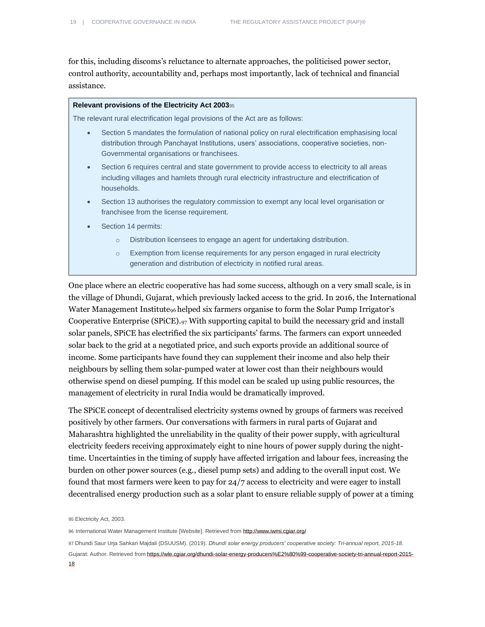for this, including discoms's reluctance to alternate approaches, the politicised power sector, control authority, accountability and, perhaps most importantly, lack of technical and financial assistance.

#### **Relevant provisions of the Electricity Act 2003**<sup>95</sup>

The relevant rural electrification legal provisions of the Act are as follows:

- Section 5 mandates the formulation of national policy on rural electrification emphasising local distribution through Panchayat Institutions, users' associations, cooperative societies, non-Governmental organisations or franchisees.
- Section 6 requires central and state government to provide access to electricity to all areas including villages and hamlets through rural electricity infrastructure and electrification of households.
- Section 13 authorises the regulatory commission to exempt any local level organisation or franchisee from the license requirement.
- Section 14 permits:
	- o Distribution licensees to engage an agent for undertaking distribution.
	- o Exemption from license requirements for any person engaged in rural electricity generation and distribution of electricity in notified rural areas.

One place where an electric cooperative has had some success, although on a very small scale, is in the village of Dhundi, Gujarat, which previously lacked access to the grid. In 2016, the International Water Management Institute<sub>96</sub> helped six farmers organise to form the Solar Pump Irrigator's Cooperative Enterprise (SPiCE). $_{97}$  With supporting capital to build the necessary grid and install solar panels, SPiCE has electrified the six participants' farms. The farmers can export unneeded solar back to the grid at a negotiated price, and such exports provide an additional source of income. Some participants have found they can supplement their income and also help their neighbours by selling them solar-pumped water at lower cost than their neighbours would otherwise spend on diesel pumping. If this model can be scaled up using public resources, the management of electricity in rural India would be dramatically improved.

The SPiCE concept of decentralised electricity systems owned by groups of farmers was received positively by other farmers. Our conversations with farmers in rural parts of Gujarat and Maharashtra highlighted the unreliability in the quality of their power supply, with agricultural electricity feeders receiving approximately eight to nine hours of power supply during the nighttime. Uncertainties in the timing of supply have affected irrigation and labour fees, increasing the burden on other power sources (e.g., diesel pump sets) and adding to the overall input cost. We found that most farmers were keen to pay for 24/7 access to electricity and were eager to install decentralised energy production such as a solar plant to ensure reliable supply of power at a timing

<sup>95</sup> Electricity Act, 2003.

<sup>96</sup> International Water Management Institute [Website]. Retrieved from <http://www.iwmi.cgiar.org/>

<sup>97</sup> Dhundi Saur Urja Sahkari Majdali (DSUUSM). (2019). *Dhundi solar energy producers' cooperative society: Tri-annual report, 2015-18*. Gujarat: Author. Retrieved fro[m https://wle.cgiar.org/dhundi-solar-energy-producers%E2%80%99-cooperative-society-tri-annual-report-2015-](https://wle.cgiar.org/dhundi-solar-energy-producers%E2%80%99-cooperative-society-tri-annual-report-2015-18)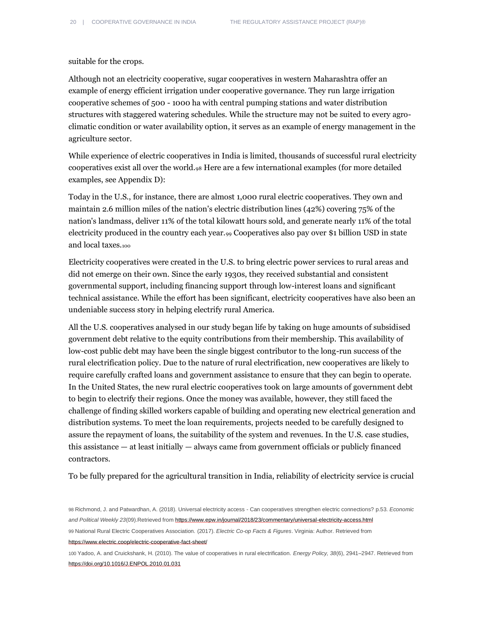suitable for the crops.

Although not an electricity cooperative, sugar cooperatives in western Maharashtra offer an example of energy efficient irrigation under cooperative governance. They run large irrigation cooperative schemes of 500 - 1000 ha with central pumping stations and water distribution structures with staggered watering schedules. While the structure may not be suited to every agroclimatic condition or water availability option, it serves as an example of energy management in the agriculture sector.

While experience of electric cooperatives in India is limited, thousands of successful rural electricity cooperatives exist all over the world.<sup>98</sup> Here are a few international examples (for more detailed examples, see Appendix D):

Today in the U.S., for instance, there are almost 1,000 rural electric cooperatives. They own and maintain 2.6 million miles of the nation's electric distribution lines (42%) covering 75% of the nation's landmass, deliver 11% of the total kilowatt hours sold, and generate nearly 11% of the total electricity produced in the country each year.<sub>99</sub> Cooperatives also pay over \$1 billion USD in state and local taxes.<sup>100</sup>

Electricity cooperatives were created in the U.S. to bring electric power services to rural areas and did not emerge on their own. Since the early 1930s, they received substantial and consistent governmental support, including financing support through low-interest loans and significant technical assistance. While the effort has been significant, electricity cooperatives have also been an undeniable success story in helping electrify rural America.

All the U.S. cooperatives analysed in our study began life by taking on huge amounts of subsidised government debt relative to the equity contributions from their membership. This availability of low-cost public debt may have been the single biggest contributor to the long-run success of the rural electrification policy. Due to the nature of rural electrification, new cooperatives are likely to require carefully crafted loans and government assistance to ensure that they can begin to operate. In the United States, the new rural electric cooperatives took on large amounts of government debt to begin to electrify their regions. Once the money was available, however, they still faced the challenge of finding skilled workers capable of building and operating new electrical generation and distribution systems. To meet the loan requirements, projects needed to be carefully designed to assure the repayment of loans, the suitability of the system and revenues. In the U.S. case studies, this assistance — at least initially — always came from government officials or publicly financed contractors.

To be fully prepared for the agricultural transition in India, reliability of electricity service is crucial

98 Richmond, J. and Patwardhan, A. (2018). Universal electricity access - Can cooperatives strengthen electric connections? p.53. *Economic and Political Weekly 23*(09).Retrieved fro[m https://www.epw.in/journal/2018/23/commentary/universal-electricity-access.html](https://www.epw.in/journal/2018/23/commentary/universal-electricity-access.html) 99 National Rural Electric Cooperatives Association. (2017). *Electric Co-op Facts & Figures*. Virginia: Author. Retrieved from <https://www.electric.coop/electric-cooperative-fact-sheet/>

100 Yadoo, A. and Cruickshank, H. (2010). The value of cooperatives in rural electrification*. Energy Policy, 38*(6), 2941–2947. Retrieved from <https://doi.org/10.1016/J.ENPOL.2010.01.031>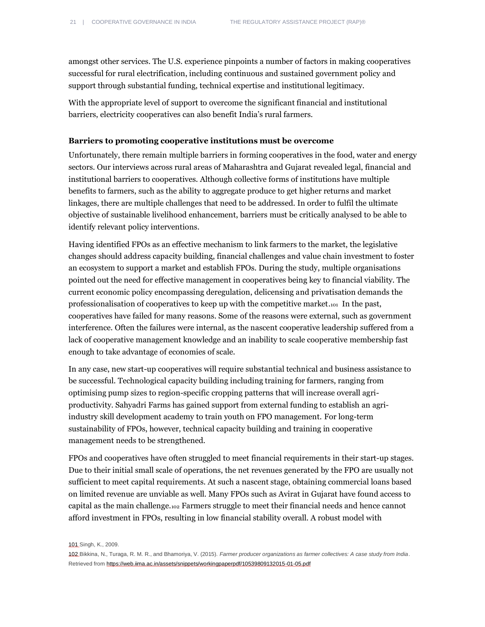amongst other services. The U.S. experience pinpoints a number of factors in making cooperatives successful for rural electrification, including continuous and sustained government policy and support through substantial funding, technical expertise and institutional legitimacy.

With the appropriate level of support to overcome the significant financial and institutional barriers, electricity cooperatives can also benefit India's rural farmers.

### **Barriers to promoting cooperative institutions must be overcome**

Unfortunately, there remain multiple barriers in forming cooperatives in the food, water and energy sectors. Our interviews across rural areas of Maharashtra and Gujarat revealed legal, financial and institutional barriers to cooperatives. Although collective forms of institutions have multiple benefits to farmers, such as the ability to aggregate produce to get higher returns and market linkages, there are multiple challenges that need to be addressed. In order to fulfil the ultimate objective of sustainable livelihood enhancement, barriers must be critically analysed to be able to identify relevant policy interventions.

Having identified FPOs as an effective mechanism to link farmers to the market, the legislative changes should address capacity building, financial challenges and value chain investment to foster an ecosystem to support a market and establish FPOs. During the study, multiple organisations pointed out the need for effective management in cooperatives being key to financial viability. The current economic policy encompassing deregulation, delicensing and privatisation demands the professionalisation of cooperatives to keep up with the competitive market.101 In the past, cooperatives have failed for many reasons. Some of the reasons were external, such as government interference. Often the failures were internal, as the nascent cooperative leadership suffered from a lack of cooperative management knowledge and an inability to scale cooperative membership fast enough to take advantage of economies of scale.

In any case, new start-up cooperatives will require substantial technical and business assistance to be successful. Technological capacity building including training for farmers, ranging from optimising pump sizes to region-specific cropping patterns that will increase overall agriproductivity. Sahyadri Farms has gained support from external funding to establish an agriindustry skill development academy to train youth on FPO management. For long-term sustainability of FPOs, however, technical capacity building and training in cooperative management needs to be strengthened.

FPOs and cooperatives have often struggled to meet financial requirements in their start-up stages. Due to their initial small scale of operations, the net revenues generated by the FPO are usually not sufficient to meet capital requirements. At such a nascent stage, obtaining commercial loans based on limited revenue are unviable as well. Many FPOs such as Avirat in Gujarat have found access to capital as the main challenge.<sup>102</sup> Farmers struggle to meet their financial needs and hence cannot afford investment in FPOs, resulting in low financial stability overall. A robust model with

101 Singh, K., 2009.

<sup>102</sup> Bikkina, N., Turaga, R. M. R., and Bhamoriya, V. (2015). *Farmer producer organizations as farmer collectives: A case study from India*. Retrieved fro[m https://web.iima.ac.in/assets/snippets/workingpaperpdf/10539809132015-01-05.pdf](https://web.iima.ac.in/assets/snippets/workingpaperpdf/10539809132015-01-05.pdf)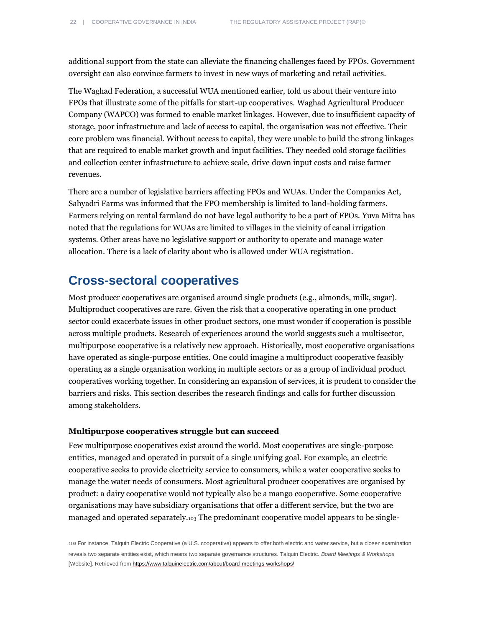additional support from the state can alleviate the financing challenges faced by FPOs. Government oversight can also convince farmers to invest in new ways of marketing and retail activities.

The Waghad Federation, a successful WUA mentioned earlier, told us about their venture into FPOs that illustrate some of the pitfalls for start-up cooperatives. Waghad Agricultural Producer Company (WAPCO) was formed to enable market linkages. However, due to insufficient capacity of storage, poor infrastructure and lack of access to capital, the organisation was not effective. Their core problem was financial. Without access to capital, they were unable to build the strong linkages that are required to enable market growth and input facilities. They needed cold storage facilities and collection center infrastructure to achieve scale, drive down input costs and raise farmer revenues.

There are a number of legislative barriers affecting FPOs and WUAs. Under the Companies Act, Sahyadri Farms was informed that the FPO membership is limited to land-holding farmers. Farmers relying on rental farmland do not have legal authority to be a part of FPOs. Yuva Mitra has noted that the regulations for WUAs are limited to villages in the vicinity of canal irrigation systems. Other areas have no legislative support or authority to operate and manage water allocation. There is a lack of clarity about who is allowed under WUA registration.

### <span id="page-21-0"></span>**Cross-sectoral cooperatives**

Most producer cooperatives are organised around single products (e.g., almonds, milk, sugar). Multiproduct cooperatives are rare. Given the risk that a cooperative operating in one product sector could exacerbate issues in other product sectors, one must wonder if cooperation is possible across multiple products. Research of experiences around the world suggests such a multisector, multipurpose cooperative is a relatively new approach. Historically, most cooperative organisations have operated as single-purpose entities. One could imagine a multiproduct cooperative feasibly operating as a single organisation working in multiple sectors or as a group of individual product cooperatives working together. In considering an expansion of services, it is prudent to consider the barriers and risks. This section describes the research findings and calls for further discussion among stakeholders.

### **Multipurpose cooperatives struggle but can succeed**

Few multipurpose cooperatives exist around the world. Most cooperatives are single-purpose entities, managed and operated in pursuit of a single unifying goal. For example, an electric cooperative seeks to provide electricity service to consumers, while a water cooperative seeks to manage the water needs of consumers. Most agricultural producer cooperatives are organised by product: a dairy cooperative would not typically also be a mango cooperative. Some cooperative organisations may have subsidiary organisations that offer a different service, but the two are managed and operated separately.<sup>103</sup> The predominant cooperative model appears to be single-

103 For instance, Talquin Electric Cooperative (a U.S. cooperative) appears to offer both electric and water service, but a closer examination reveals two separate entities exist, which means two separate governance structures. Talquin Electric. *Board Meetings & Workshops* [Website]. Retrieved fro[m https://www.talquinelectric.com/about/board-meetings-workshops/](https://www.talquinelectric.com/about/board-meetings-workshops/)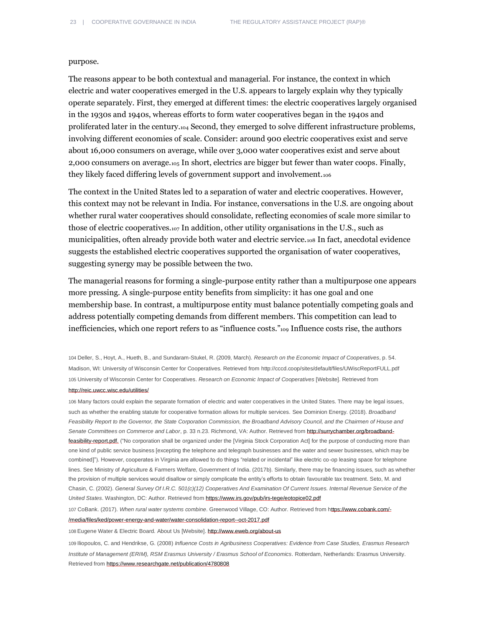#### purpose.

The reasons appear to be both contextual and managerial. For instance, the context in which electric and water cooperatives emerged in the U.S. appears to largely explain why they typically operate separately. First, they emerged at different times: the electric cooperatives largely organised in the 1930s and 1940s, whereas efforts to form water cooperatives began in the 1940s and proliferated later in the century.<sup>104</sup> Second, they emerged to solve different infrastructure problems, involving different economies of scale. Consider: around 900 electric cooperatives exist and serve about 16,000 consumers on average, while over 3,000 water cooperatives exist and serve about 2,000 consumers on average.<sup>105</sup> In short, electrics are bigger but fewer than water coops. Finally, they likely faced differing levels of government support and involvement.106

The context in the United States led to a separation of water and electric cooperatives. However, this context may not be relevant in India. For instance, conversations in the U.S. are ongoing about whether rural water cooperatives should consolidate, reflecting economies of scale more similar to those of electric cooperatives.<sup>107</sup> In addition, other utility organisations in the U.S., such as municipalities, often already provide both water and electric service.<sup>108</sup> In fact, anecdotal evidence suggests the established electric cooperatives supported the organisation of water cooperatives, suggesting synergy may be possible between the two.

The managerial reasons for forming a single-purpose entity rather than a multipurpose one appears more pressing. A single-purpose entity benefits from simplicity: it has one goal and one membership base. In contrast, a multipurpose entity must balance potentially competing goals and address potentially competing demands from different members. This competition can lead to inefficiencies, which one report refers to as "influence costs."<sup>109</sup> Influence costs rise, the authors

104 Deller, S., Hoyt, A., Hueth, B., and Sundaram-Stukel, R. (2009, March). *Research on the Economic Impact of Cooperatives*, p. 54. Madison, WI: University of Wisconsin Center for Cooperatives. Retrieved fro[m http://cccd.coop/sites/default/files/UWiscReportFULL.pdf](http://cccd.coop/sites/default/files/UWiscReportFULL.pdf) 105 University of Wisconsin Center for Cooperatives. *Research on Economic Impact of Cooperatives* [Website]. Retrieved from <http://reic.uwcc.wisc.edu/utilities/>

106 Many factors could explain the separate formation of electric and water cooperatives in the United States. There may be legal issues, such as whether the enabling statute for cooperative formation allows for multiple services. See Dominion Energy. (2018). *Broadband Feasibility Report to the Governor, the State Corporation Commission, the Broadband Advisory Council, and the Chairmen of House and Senate Committees on Commerce and Labor*, p. 33 n.23. Richmond, VA: Author. Retrieved fro[m http://surrychamber.org/broadband](http://surrychamber.org/broadband-feasibility-report.pdf)[feasibility-report.pdf.](http://surrychamber.org/broadband-feasibility-report.pdf) ("No corporation shall be organized under the [Virginia Stock Corporation Act] for the purpose of conducting more than one kind of public service business [excepting the telephone and telegraph businesses and the water and sewer businesses, which may be combined]"). However, cooperates in Virginia are allowed to do things "related or incidental" like electric co-op leasing space for telephone lines. See Ministry of Agriculture & Farmers Welfare, Government of India. (2017b). Similarly, there may be financing issues, such as whether the provision of multiple services would disallow or simply complicate the entity's efforts to obtain favourable tax treatment. Seto, M. and Chasin, C. (2002). *General Survey Of I.R.C. 501(c)(12) Cooperatives And Examination Of Current Issues. Internal Revenue Service of the United States*. Washington, DC: Author. Retrieved fro[m https://www.irs.gov/pub/irs-tege/eotopice02.pdf](https://www.irs.gov/pub/irs-tege/eotopice02.pdf)

107 CoBank. (2017). *When rural water systems combine*. Greenwood Village, CO: Author. Retrieved fro[m https://www.cobank.com/-](https://www.cobank.com/-/media/files/ked/power-energy-and-water/water-consolidation-report--oct-2017.pdf)

[/media/files/ked/power-energy-and-water/water-consolidation-report--oct-2017.pdf](https://www.cobank.com/-/media/files/ked/power-energy-and-water/water-consolidation-report--oct-2017.pdf)

108 Eugene Water & Electric Board. About Us [Website]. <http://www.eweb.org/about-us>

109 Iliopoulos, C. and Hendrikse, G. (2008) *Influence Costs in Agribusiness Cooperatives: Evidence from Case Studies, Erasmus Research Institute of Management (ERIM), RSM Erasmus University / Erasmus School of Economics*. Rotterdam, Netherlands: Erasmus University. Retrieved from <https://www.researchgate.net/publication/4780808>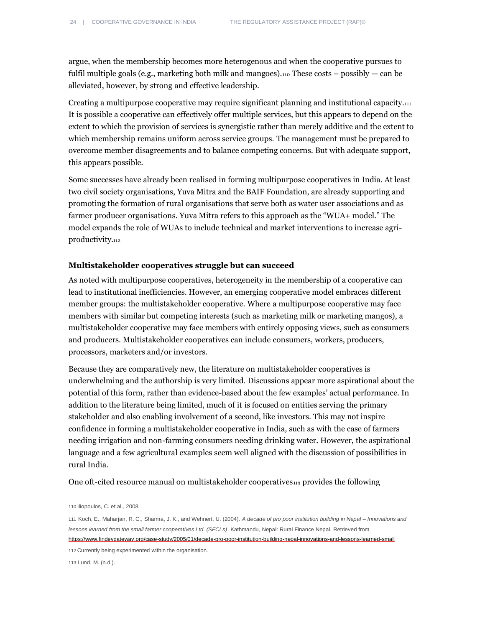argue, when the membership becomes more heterogenous and when the cooperative pursues to fulfil multiple goals (e.g., marketing both milk and mangoes). $110$  These costs – possibly – can be alleviated, however, by strong and effective leadership.

Creating a multipurpose cooperative may require significant planning and institutional capacity.<sup>111</sup> It is possible a cooperative can effectively offer multiple services, but this appears to depend on the extent to which the provision of services is synergistic rather than merely additive and the extent to which membership remains uniform across service groups. The management must be prepared to overcome member disagreements and to balance competing concerns. But with adequate support, this appears possible.

Some successes have already been realised in forming multipurpose cooperatives in India. At least two civil society organisations, Yuva Mitra and the BAIF Foundation, are already supporting and promoting the formation of rural organisations that serve both as water user associations and as farmer producer organisations. Yuva Mitra refers to this approach as the "WUA+ model." The model expands the role of WUAs to include technical and market interventions to increase agriproductivity.<sup>112</sup>

### **Multistakeholder cooperatives struggle but can succeed**

As noted with multipurpose cooperatives, heterogeneity in the membership of a cooperative can lead to institutional inefficiencies. However, an emerging cooperative model embraces different member groups: the multistakeholder cooperative. Where a multipurpose cooperative may face members with similar but competing interests (such as marketing milk or marketing mangos), a multistakeholder cooperative may face members with entirely opposing views, such as consumers and producers. Multistakeholder cooperatives can include consumers, workers, producers, processors, marketers and/or investors.

Because they are comparatively new, the literature on multistakeholder cooperatives is underwhelming and the authorship is very limited. Discussions appear more aspirational about the potential of this form, rather than evidence-based about the few examples' actual performance. In addition to the literature being limited, much of it is focused on entities serving the primary stakeholder and also enabling involvement of a second, like investors. This may not inspire confidence in forming a multistakeholder cooperative in India, such as with the case of farmers needing irrigation and non-farming consumers needing drinking water. However, the aspirational language and a few agricultural examples seem well aligned with the discussion of possibilities in rural India.

One oft-cited resource manual on multistakeholder cooperatives $n_3$  provides the following

110 Iliopoulos, C. et al., 2008.

111 Koch, E., Maharjan, R. C., Sharma, J. K., and Wehnert, U. (2004). *A decade of pro poor institution building in Nepal – Innovations and lessons learned from the small farmer cooperatives Ltd. (SFCLs)*. Kathmandu, Nepal: Rural Finance Nepal. Retrieved from https://www.findevgateway.org/case-study/2005/01/decade-pro-poor-institution-building-nepal-innovations-and-lessons-learned-small

112 Currently being experimented within the organisation.

113 Lund, M. (n.d.).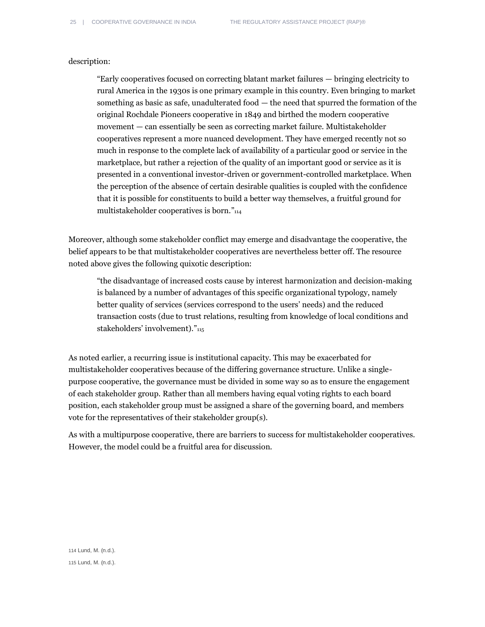#### description:

"Early cooperatives focused on correcting blatant market failures — bringing electricity to rural America in the 1930s is one primary example in this country. Even bringing to market something as basic as safe, unadulterated food — the need that spurred the formation of the original Rochdale Pioneers cooperative in 1849 and birthed the modern cooperative movement — can essentially be seen as correcting market failure. Multistakeholder cooperatives represent a more nuanced development. They have emerged recently not so much in response to the complete lack of availability of a particular good or service in the marketplace, but rather a rejection of the quality of an important good or service as it is presented in a conventional investor-driven or government-controlled marketplace. When the perception of the absence of certain desirable qualities is coupled with the confidence that it is possible for constituents to build a better way themselves, a fruitful ground for multistakeholder cooperatives is born."<sup>114</sup>

Moreover, although some stakeholder conflict may emerge and disadvantage the cooperative, the belief appears to be that multistakeholder cooperatives are nevertheless better off. The resource noted above gives the following quixotic description:

"the disadvantage of increased costs cause by interest harmonization and decision-making is balanced by a number of advantages of this specific organizational typology, namely better quality of services (services correspond to the users' needs) and the reduced transaction costs (due to trust relations, resulting from knowledge of local conditions and stakeholders' involvement)."<sup>115</sup>

As noted earlier, a recurring issue is institutional capacity. This may be exacerbated for multistakeholder cooperatives because of the differing governance structure. Unlike a singlepurpose cooperative, the governance must be divided in some way so as to ensure the engagement of each stakeholder group. Rather than all members having equal voting rights to each board position, each stakeholder group must be assigned a share of the governing board, and members vote for the representatives of their stakeholder group(s).

As with a multipurpose cooperative, there are barriers to success for multistakeholder cooperatives. However, the model could be a fruitful area for discussion.

114 Lund, M. (n.d.). 115 Lund, M. (n.d.).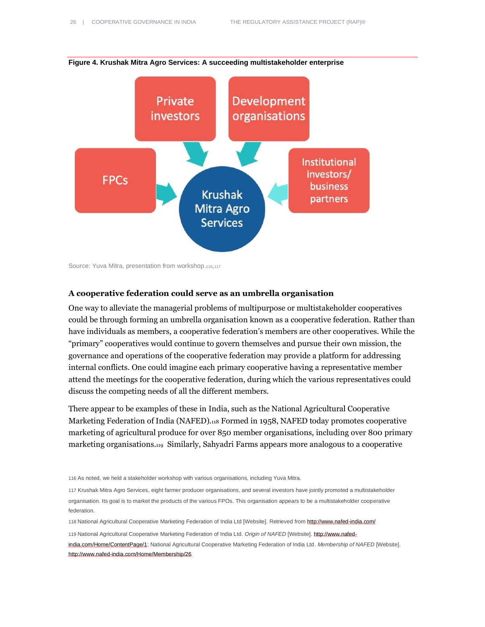

**Figure 4. Krushak Mitra Agro Services: A succeeding multistakeholder enterprise**

#### **A cooperative federation could serve as an umbrella organisation**

One way to alleviate the managerial problems of multipurpose or multistakeholder cooperatives could be through forming an umbrella organisation known as a cooperative federation. Rather than have individuals as members, a cooperative federation's members are other cooperatives. While the "primary" cooperatives would continue to govern themselves and pursue their own mission, the governance and operations of the cooperative federation may provide a platform for addressing internal conflicts. One could imagine each primary cooperative having a representative member attend the meetings for the cooperative federation, during which the various representatives could discuss the competing needs of all the different members.

There appear to be examples of these in India, such as the National Agricultural Cooperative Marketing Federation of India (NAFED).<sup>118</sup> Formed in 1958, NAFED today promotes cooperative marketing of agricultural produce for over 850 member organisations, including over 800 primary marketing organisations.119 Similarly, Sahyadri Farms appears more analogous to a cooperative

116 As noted, we held a stakeholder workshop with various organisations, including Yuva Mitra.

117 Krushak Mitra Agro Services, eight farmer producer organisations, and several investors have jointly promoted a multistakeholder organisation. Its goal is to market the products of the various FPOs. This organisation appears to be a multistakeholder cooperative federation.

118 National Agricultural Cooperative Marketing Federation of India Ltd [Website]. Retrieved from<http://www.nafed-india.com/>

119 National Agricultural Cooperative Marketing Federation of India Ltd. *Origin of NAFED* [Website][. http://www.nafed](http://www.nafed-india.com/Home/ContentPage/1)[india.com/Home/ContentPage/1;](http://www.nafed-india.com/Home/ContentPage/1) National Agricultural Cooperative Marketing Federation of India Ltd. *Membership of NAFED* [Website]. <http://www.nafed-india.com/Home/Membership/26>

Source: Yuva Mitra, presentation from workshop.116,<sup>117</sup>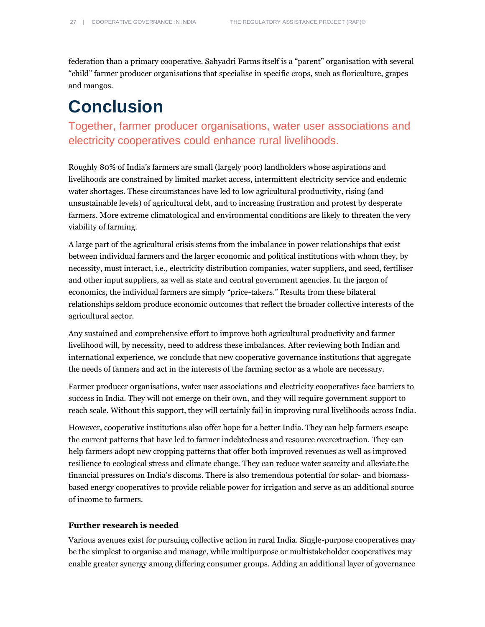federation than a primary cooperative. Sahyadri Farms itself is a "parent" organisation with several "child" farmer producer organisations that specialise in specific crops, such as floriculture, grapes and mangos.

# <span id="page-26-0"></span>**Conclusion**

### Together, farmer producer organisations, water user associations and electricity cooperatives could enhance rural livelihoods.

Roughly 80% of India's farmers are small (largely poor) landholders whose aspirations and livelihoods are constrained by limited market access, intermittent electricity service and endemic water shortages. These circumstances have led to low agricultural productivity, rising (and unsustainable levels) of agricultural debt, and to increasing frustration and protest by desperate farmers. More extreme climatological and environmental conditions are likely to threaten the very viability of farming.

A large part of the agricultural crisis stems from the imbalance in power relationships that exist between individual farmers and the larger economic and political institutions with whom they, by necessity, must interact, i.e., electricity distribution companies, water suppliers, and seed, fertiliser and other input suppliers, as well as state and central government agencies. In the jargon of economics, the individual farmers are simply "price-takers." Results from these bilateral relationships seldom produce economic outcomes that reflect the broader collective interests of the agricultural sector.

Any sustained and comprehensive effort to improve both agricultural productivity and farmer livelihood will, by necessity, need to address these imbalances. After reviewing both Indian and international experience, we conclude that new cooperative governance institutions that aggregate the needs of farmers and act in the interests of the farming sector as a whole are necessary.

Farmer producer organisations, water user associations and electricity cooperatives face barriers to success in India. They will not emerge on their own, and they will require government support to reach scale. Without this support, they will certainly fail in improving rural livelihoods across India.

However, cooperative institutions also offer hope for a better India. They can help farmers escape the current patterns that have led to farmer indebtedness and resource overextraction. They can help farmers adopt new cropping patterns that offer both improved revenues as well as improved resilience to ecological stress and climate change. They can reduce water scarcity and alleviate the financial pressures on India's discoms. There is also tremendous potential for solar- and biomassbased energy cooperatives to provide reliable power for irrigation and serve as an additional source of income to farmers.

### **Further research is needed**

Various avenues exist for pursuing collective action in rural India. Single-purpose cooperatives may be the simplest to organise and manage, while multipurpose or multistakeholder cooperatives may enable greater synergy among differing consumer groups. Adding an additional layer of governance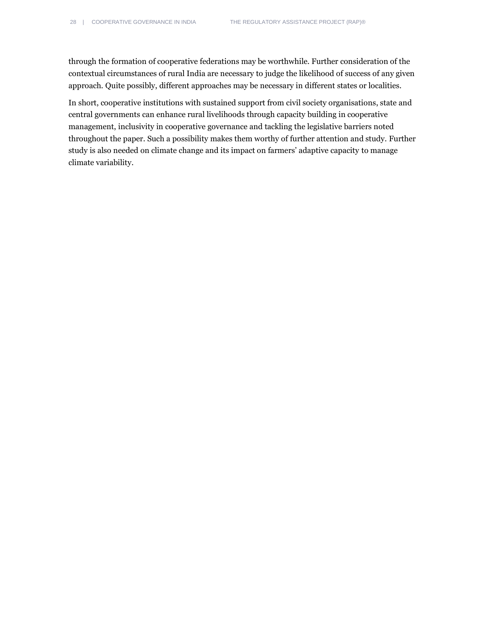through the formation of cooperative federations may be worthwhile. Further consideration of the contextual circumstances of rural India are necessary to judge the likelihood of success of any given approach. Quite possibly, different approaches may be necessary in different states or localities.

In short, cooperative institutions with sustained support from civil society organisations, state and central governments can enhance rural livelihoods through capacity building in cooperative management, inclusivity in cooperative governance and tackling the legislative barriers noted throughout the paper. Such a possibility makes them worthy of further attention and study. Further study is also needed on climate change and its impact on farmers' adaptive capacity to manage climate variability.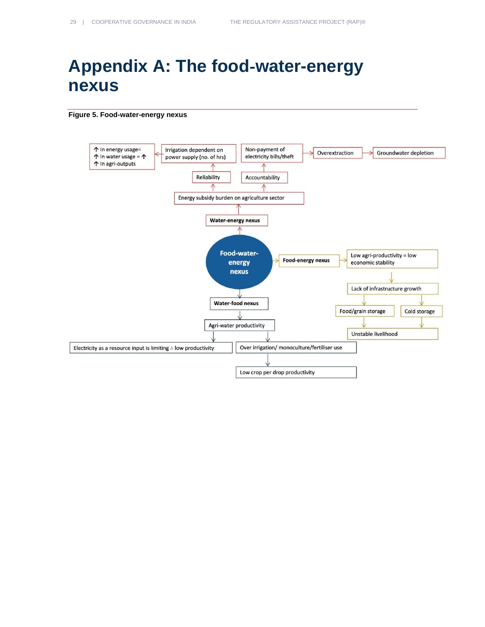# <span id="page-28-0"></span>**Appendix A: The food**‑**water-energy nexus**

#### **Figure 5. Food-water-energy nexus**

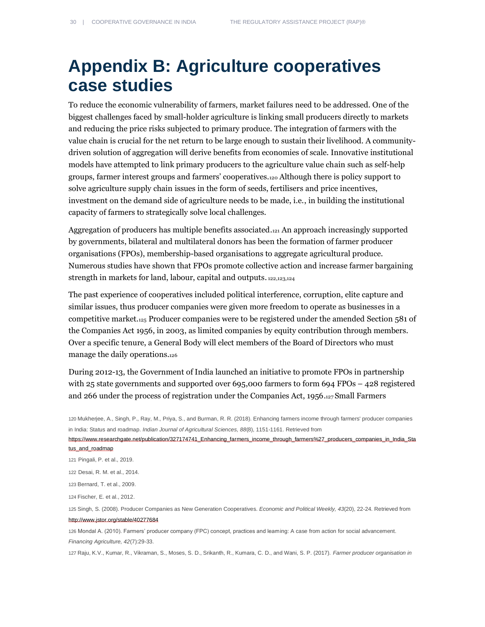# <span id="page-29-0"></span>**Appendix B: Agriculture cooperatives case studies**

To reduce the economic vulnerability of farmers, market failures need to be addressed. One of the biggest challenges faced by small-holder agriculture is linking small producers directly to markets and reducing the price risks subjected to primary produce. The integration of farmers with the value chain is crucial for the net return to be large enough to sustain their livelihood. A communitydriven solution of aggregation will derive benefits from economies of scale. Innovative institutional models have attempted to link primary producers to the agriculture value chain such as self-help groups, farmer interest groups and farmers' cooperatives.<sup>120</sup> Although there is policy support to solve agriculture supply chain issues in the form of seeds, fertilisers and price incentives, investment on the demand side of agriculture needs to be made, i.e., in building the institutional capacity of farmers to strategically solve local challenges.

Aggregation of producers has multiple benefits associated.<sup>121</sup> An approach increasingly supported by governments, bilateral and multilateral donors has been the formation of farmer producer organisations (FPOs), membership-based organisations to aggregate agricultural produce. Numerous studies have shown that FPOs promote collective action and increase farmer bargaining strength in markets for land, labour, capital and outputs. 122,123,124

The past experience of cooperatives included political interference, corruption, elite capture and similar issues, thus producer companies were given more freedom to operate as businesses in a competitive market.<sup>125</sup> Producer companies were to be registered under the amended Section 581 of the Companies Act 1956, in 2003, as limited companies by equity contribution through members. Over a specific tenure, a General Body will elect members of the Board of Directors who must manage the daily operations.<sup>126</sup>

During 2012-13, the Government of India launched an initiative to promote FPOs in partnership with 25 state governments and supported over 695,000 farmers to form 694 FPOs – 428 registered and 266 under the process of registration under the Companies Act, 1956.<sup>127</sup> Small Farmers

 Mukherjee, A., Singh, P., Ray, M., Priya, S., and Burman, R. R. (2018). Enhancing farmers income through farmers' producer companies in India: Status and roadmap. *Indian Journal of Agricultural Sciences, 88*(8), 1151-1161. Retrieved from https://www.researchgate.net/publication/327174741\_Enhancing\_farmers\_income\_through\_farmers%27\_producers\_companies\_in\_India\_Sta tus\_and\_roadmap Pingali, P. et al., 2019. Desai, R. M. et al., 2014. Bernard, T. et al., 2009. Fischer, E. et al., 2012.

125 Singh, S. (2008). Producer Companies as New Generation Cooperatives. *Economic and Political Weekly, 43*(20), 22-24. Retrieved from <http://www.jstor.org/stable/40277684>

126 Mondal A. (2010). Farmers' producer company (FPC) concept, practices and learning: A case from action for social advancement. *Financing Agriculture, 42*(7):29-33.

127 Raju, K.V., Kumar, R., Vikraman, S., Moses, S. D., Srikanth, R., Kumara, C. D., and Wani, S. P. (2017). *Farmer producer organisation in*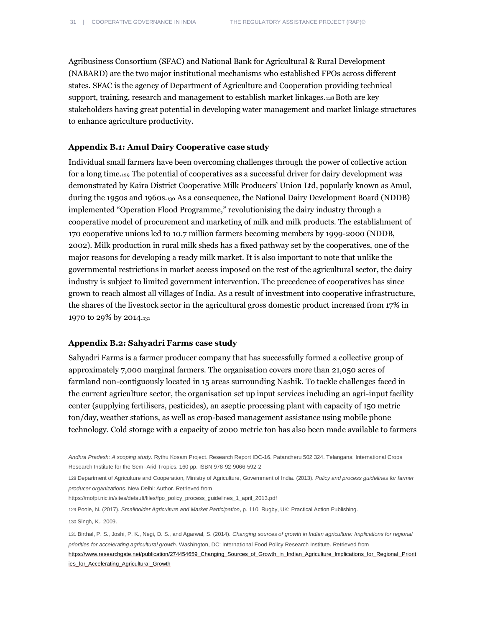Agribusiness Consortium (SFAC) and National Bank for Agricultural & Rural Development (NABARD) are the two major institutional mechanisms who established FPOs across different states. SFAC is the agency of Department of Agriculture and Cooperation providing technical support, training, research and management to establish market linkages.<sup>128</sup> Both are key stakeholders having great potential in developing water management and market linkage structures to enhance agriculture productivity.

### **Appendix B.1: Amul Dairy Cooperative case study**

Individual small farmers have been overcoming challenges through the power of collective action for a long time.<sup>129</sup> The potential of cooperatives as a successful driver for dairy development was demonstrated by Kaira District Cooperative Milk Producers' Union Ltd, popularly known as Amul, during the 1950s and 1960s.<sup>130</sup> As a consequence, the National Dairy Development Board (NDDB) implemented "Operation Flood Programme," revolutionising the dairy industry through a cooperative model of procurement and marketing of milk and milk products. The establishment of 170 cooperative unions led to 10.7 million farmers becoming members by 1999-2000 (NDDB, 2002). Milk production in rural milk sheds has a fixed pathway set by the cooperatives, one of the major reasons for developing a ready milk market. It is also important to note that unlike the governmental restrictions in market access imposed on the rest of the agricultural sector, the dairy industry is subject to limited government intervention. The precedence of cooperatives has since grown to reach almost all villages of India. As a result of investment into cooperative infrastructure, the shares of the livestock sector in the agricultural gross domestic product increased from 17% in 1970 to 29% by 2014.<sup>131</sup>

### **Appendix B.2: Sahyadri Farms case study**

Sahyadri Farms is a farmer producer company that has successfully formed a collective group of approximately 7,000 marginal farmers. The organisation covers more than 21,050 acres of farmland non-contiguously located in 15 areas surrounding Nashik. To tackle challenges faced in the current agriculture sector, the organisation set up input services including an agri-input facility center (supplying fertilisers, pesticides), an aseptic processing plant with capacity of 150 metric ton/day, weather stations, as well as crop-based management assistance using mobile phone technology. Cold storage with a capacity of 2000 metric ton has also been made available to farmers

128 Department of Agriculture and Cooperation, Ministry of Agriculture, Government of India. (2013). *Policy and process guidelines for farmer producer organizations*. New Delhi: Author. Retrieved from

https://mofpi.nic.in/sites/default/files/fpo\_policy\_process\_guidelines\_1\_april\_2013.pdf

129 Poole, N. (2017). *Smallholder Agriculture and Market Participation*, p. 110. Rugby, UK: Practical Action Publishing.

130 Singh, K., 2009.

131 Birthal, P. S., Joshi, P. K., Negi, D. S., and Agarwal, S. (2014). *Changing sources of growth in Indian agriculture: Implications for regional priorities for accelerating agricultural growth*. Washington, DC: International Food Policy Research Institute. Retrieved from https://www.researchgate.net/publication/274454659\_Changing\_Sources\_of\_Growth\_in\_Indian\_Agriculture\_Implications\_for\_Regional\_Priorit ies\_for\_Accelerating\_Agricultural\_Growth

*Andhra Pradesh: A scoping study*. Rythu Kosam Project. Research Report IDC-16. Patancheru 502 324. Telangana: International Crops Research Institute for the Semi-Arid Tropics. 160 pp. ISBN 978-92-9066-592-2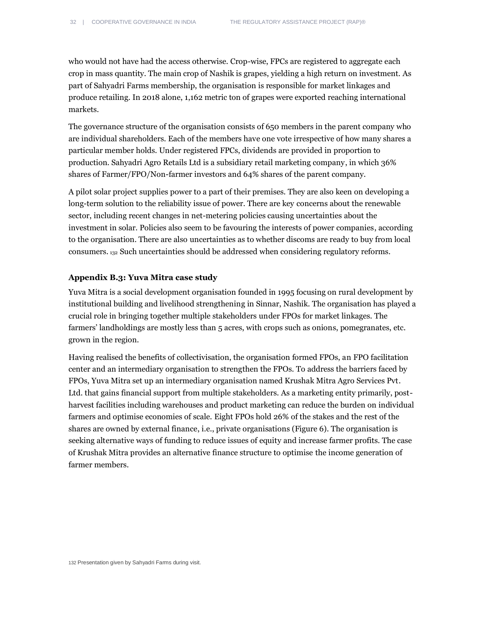who would not have had the access otherwise. Crop-wise, FPCs are registered to aggregate each crop in mass quantity. The main crop of Nashik is grapes, yielding a high return on investment. As part of Sahyadri Farms membership, the organisation is responsible for market linkages and produce retailing. In 2018 alone, 1,162 metric ton of grapes were exported reaching international markets.

The governance structure of the organisation consists of 650 members in the parent company who are individual shareholders. Each of the members have one vote irrespective of how many shares a particular member holds. Under registered FPCs, dividends are provided in proportion to production. Sahyadri Agro Retails Ltd is a subsidiary retail marketing company, in which 36% shares of Farmer/FPO/Non-farmer investors and 64% shares of the parent company.

A pilot solar project supplies power to a part of their premises. They are also keen on developing a long-term solution to the reliability issue of power. There are key concerns about the renewable sector, including recent changes in net-metering policies causing uncertainties about the investment in solar. Policies also seem to be favouring the interests of power companies, according to the organisation. There are also uncertainties as to whether discoms are ready to buy from local consumers. <sup>132</sup> Such uncertainties should be addressed when considering regulatory reforms.

#### **Appendix B.3: Yuva Mitra case study**

Yuva Mitra is a social development organisation founded in 1995 focusing on rural development by institutional building and livelihood strengthening in Sinnar, Nashik. The organisation has played a crucial role in bringing together multiple stakeholders under FPOs for market linkages. The farmers' landholdings are mostly less than 5 acres, with crops such as onions, pomegranates, etc. grown in the region.

Having realised the benefits of collectivisation, the organisation formed FPOs, an FPO facilitation center and an intermediary organisation to strengthen the FPOs. To address the barriers faced by FPOs, Yuva Mitra set up an intermediary organisation named Krushak Mitra Agro Services Pvt. Ltd. that gains financial support from multiple stakeholders. As a marketing entity primarily, postharvest facilities including warehouses and product marketing can reduce the burden on individual farmers and optimise economies of scale. Eight FPOs hold 26% of the stakes and the rest of the shares are owned by external finance, i.e., private organisations (Figure 6). The organisation is seeking alternative ways of funding to reduce issues of equity and increase farmer profits. The case of Krushak Mitra provides an alternative finance structure to optimise the income generation of farmer members.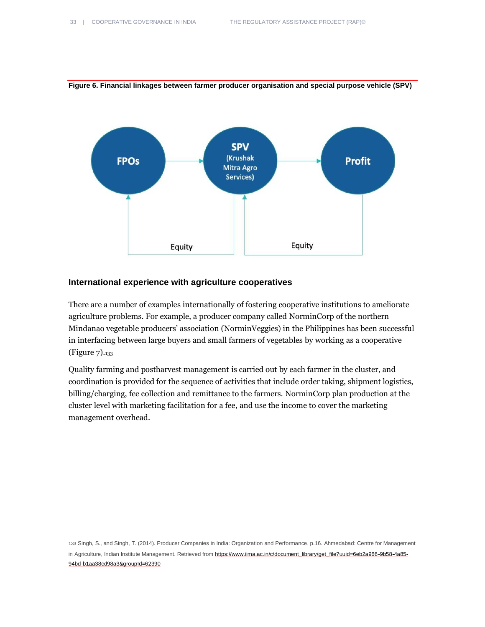### **Figure 6. Financial linkages between farmer producer organisation and special purpose vehicle (SPV)**



#### **International experience with agriculture cooperatives**

There are a number of examples internationally of fostering cooperative institutions to ameliorate agriculture problems. For example, a producer company called NorminCorp of the northern Mindanao vegetable producers' association (NorminVeggies) in the Philippines has been successful in interfacing between large buyers and small farmers of vegetables by working as a cooperative (Figure 7).<sup>133</sup>

Quality farming and postharvest management is carried out by each farmer in the cluster, and coordination is provided for the sequence of activities that include order taking, shipment logistics, billing/charging, fee collection and remittance to the farmers. NorminCorp plan production at the cluster level with marketing facilitation for a fee, and use the income to cover the marketing management overhead.

133 Singh, S., and Singh, T. (2014). Producer Companies in India: Organization and Performance, p.16. Ahmedabad: Centre for Management in Agriculture, Indian Institute Management. Retrieved from https://www.iima.ac.in/c/document\_library/get\_file?uuid=6eb2a966-9b58-4a85-94bd-b1aa38cd98a3&groupId=62390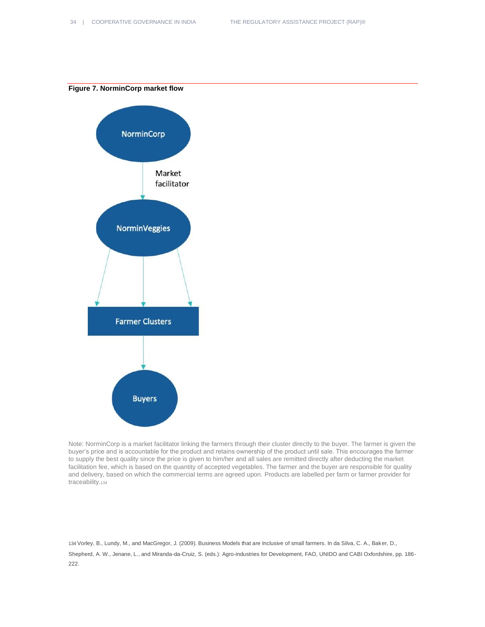**Figure 7. NorminCorp market flow**



Note: NorminCorp is a market facilitator linking the farmers through their cluster directly to the buyer. The farmer is given the buyer's price and is accountable for the product and retains ownership of the product until sale. This encourages the farmer to supply the best quality since the price is given to him/her and all sales are remitted directly after deducting the market facilitation fee, which is based on the quantity of accepted vegetables. The farmer and the buyer are responsible for quality and delivery, based on which the commercial terms are agreed upon. Products are labelled per farm or farmer provider for traceability.<sup>134</sup>

134 Vorley, B., Lundy, M., and MacGregor, J. (2009). Business Models that are Inclusive of small farmers. In da Silva, C. A., Baker, D., Shepherd, A. W., Jenane, L., and Miranda-da-Cruiz, S. (eds.): Agro-industries for Development, FAO, UNIDO and CABI Oxfordshire, pp. 186- 222.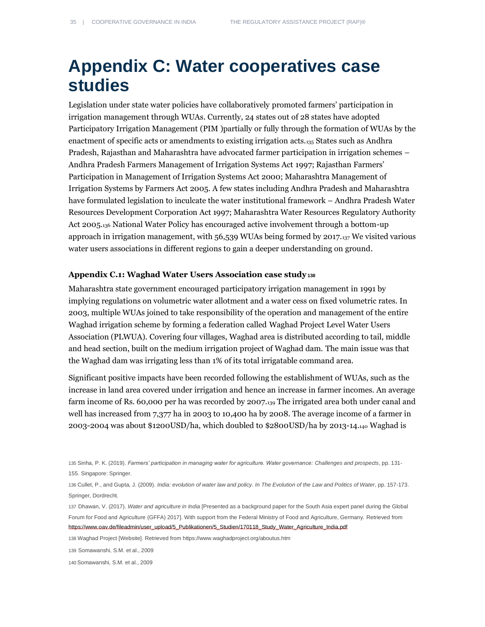# <span id="page-34-0"></span>**Appendix C: Water cooperatives case studies**

Legislation under state water policies have collaboratively promoted farmers' participation in irrigation management through WUAs. Currently, 24 states out of 28 states have adopted Participatory Irrigation Management (PIM )partially or fully through the formation of WUAs by the enactment of specific acts or amendments to existing irrigation acts.<sup>135</sup> States such as Andhra Pradesh, Rajasthan and Maharashtra have advocated farmer participation in irrigation schemes – Andhra Pradesh Farmers Management of Irrigation Systems Act 1997; Rajasthan Farmers' Participation in Management of Irrigation Systems Act 2000; Maharashtra Management of Irrigation Systems by Farmers Act 2005. A few states including Andhra Pradesh and Maharashtra have formulated legislation to inculcate the water institutional framework – Andhra Pradesh Water Resources Development Corporation Act 1997; Maharashtra Water Resources Regulatory Authority Act 2005.<sup>136</sup> National Water Policy has encouraged active involvement through a bottom-up approach in irrigation management, with 56,539 WUAs being formed by 2017.<sup>137</sup> We visited various water users associations in different regions to gain a deeper understanding on ground.

### **Appendix C.1: Waghad Water Users Association case study<sup>138</sup>**

Maharashtra state government encouraged participatory irrigation management in 1991 by implying regulations on volumetric water allotment and a water cess on fixed volumetric rates. In 2003, multiple WUAs joined to take responsibility of the operation and management of the entire Waghad irrigation scheme by forming a federation called Waghad Project Level Water Users Association (PLWUA). Covering four villages, Waghad area is distributed according to tail, middle and head section, built on the medium irrigation project of Waghad dam. The main issue was that the Waghad dam was irrigating less than 1% of its total irrigatable command area.

Significant positive impacts have been recorded following the establishment of WUAs, such as the increase in land area covered under irrigation and hence an increase in farmer incomes. An average farm income of Rs. 60,000 per ha was recorded by 2007.<sup>139</sup> The irrigated area both under canal and well has increased from 7,377 ha in 2003 to 10,400 ha by 2008. The average income of a farmer in 2003-2004 was about \$1200USD/ha, which doubled to \$2800USD/ha by 2013-14.<sup>140</sup> Waghad is

135 Sinha, P. K. (2019). *Farmers' participation in managing water for agriculture. Water governance: Challenges and prospects*, pp. 131- 155. Singapore: Springer.

136 Cullet, P., and Gupta, J. (2009). *India: evolution of water law and policy. In The Evolution of the Law and Politics of Water*, pp. 157-173. Springer, Dordrecht.

137 Dhawan, V. (2017). *Water and agriculture in India* [Presented as a background paper for the South Asia expert panel during the Global Forum for Food and Agriculture (GFFA) 2017]. With support from the Federal Ministry of Food and Agriculture, Germany. Retrieved from https://www.oav.de/fileadmin/user\_upload/5\_Publikationen/5\_Studien/170118\_Study\_Water\_Agriculture\_India.pdf

138 Waghad Project [Website]. Retrieved from <https://www.waghadproject.org/aboutus.htm>

139 Somawanshi, S.M. et al., 2009

140 Somawanshi, S.M. et al., 2009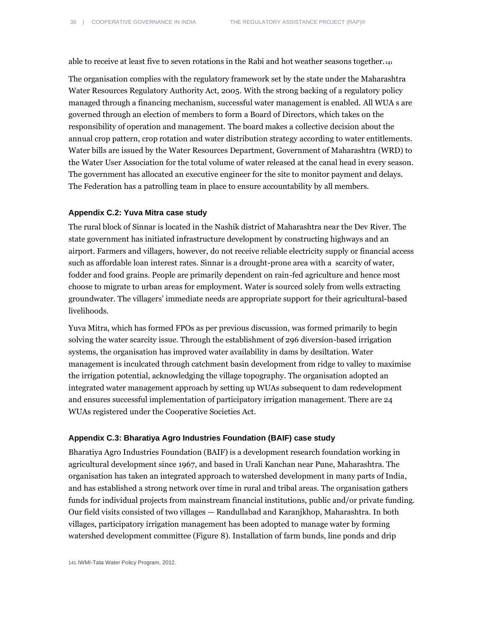able to receive at least five to seven rotations in the Rabi and hot weather seasons together.<sup>141</sup>

The organisation complies with the regulatory framework set by the state under the Maharashtra Water Resources Regulatory Authority Act, 2005. With the strong backing of a regulatory policy managed through a financing mechanism, successful water management is enabled. All WUA s are governed through an election of members to form a Board of Directors, which takes on the responsibility of operation and management. The board makes a collective decision about the annual crop pattern, crop rotation and water distribution strategy according to water entitlements. Water bills are issued by the Water Resources Department, Government of Maharashtra (WRD) to the Water User Association for the total volume of water released at the canal head in every season. The government has allocated an executive engineer for the site to monitor payment and delays. The Federation has a patrolling team in place to ensure accountability by all members.

### **Appendix C.2: Yuva Mitra case study**

The rural block of Sinnar is located in the Nashik district of Maharashtra near the Dev River. The state government has initiated infrastructure development by constructing highways and an airport. Farmers and villagers, however, do not receive reliable electricity supply or financial access such as affordable loan interest rates. Sinnar is a drought-prone area with a scarcity of water, fodder and food grains. People are primarily dependent on rain-fed agriculture and hence most choose to migrate to urban areas for employment. Water is sourced solely from wells extracting groundwater. The villagers' immediate needs are appropriate support for their agricultural-based livelihoods.

Yuva Mitra, which has formed FPOs as per previous discussion, was formed primarily to begin solving the water scarcity issue. Through the establishment of 296 diversion-based irrigation systems, the organisation has improved water availability in dams by desiltation. Water management is inculcated through catchment basin development from ridge to valley to maximise the irrigation potential, acknowledging the village topography. The organisation adopted an integrated water management approach by setting up WUAs subsequent to dam redevelopment and ensures successful implementation of participatory irrigation management. There are 24 WUAs registered under the Cooperative Societies Act.

### **Appendix C.3: Bharatiya Agro Industries Foundation (BAIF) case study**

Bharatiya Agro Industries Foundation (BAIF) is a development research foundation working in agricultural development since 1967, and based in Urali Kanchan near Pune, Maharashtra. The organisation has taken an integrated approach to watershed development in many parts of India, and has established a strong network over time in rural and tribal areas. The organisation gathers funds for individual projects from mainstream financial institutions, public and/or private funding. Our field visits consisted of two villages — Randullabad and Karanjkhop, Maharashtra. In both villages, participatory irrigation management has been adopted to manage water by forming watershed development committee (Figure 8). Installation of farm bunds, line ponds and drip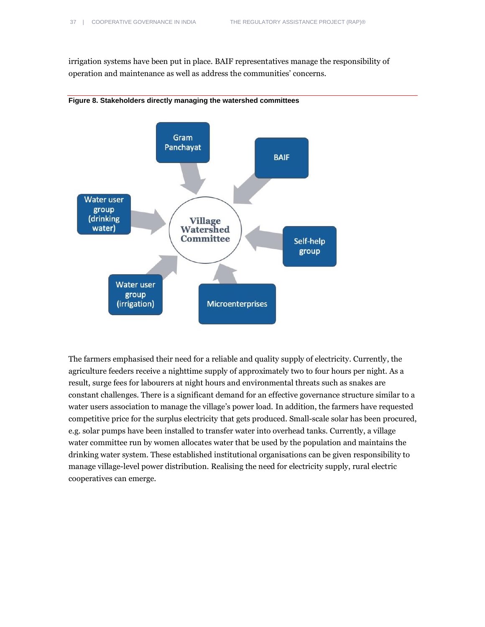irrigation systems have been put in place. BAIF representatives manage the responsibility of operation and maintenance as well as address the communities' concerns.





The farmers emphasised their need for a reliable and quality supply of electricity. Currently, the agriculture feeders receive a nighttime supply of approximately two to four hours per night. As a result, surge fees for labourers at night hours and environmental threats such as snakes are constant challenges. There is a significant demand for an effective governance structure similar to a water users association to manage the village's power load. In addition, the farmers have requested competitive price for the surplus electricity that gets produced. Small-scale solar has been procured, e.g. solar pumps have been installed to transfer water into overhead tanks. Currently, a village water committee run by women allocates water that be used by the population and maintains the drinking water system. These established institutional organisations can be given responsibility to manage village-level power distribution. Realising the need for electricity supply, rural electric cooperatives can emerge.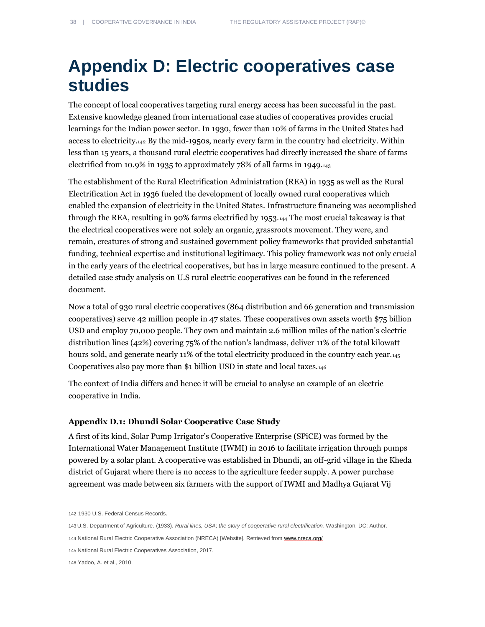# <span id="page-37-0"></span>**Appendix D: Electric cooperatives case studies**

The concept of local cooperatives targeting rural energy access has been successful in the past. Extensive knowledge gleaned from international case studies of cooperatives provides crucial learnings for the Indian power sector. In 1930, fewer than 10% of farms in the United States had access to electricity.<sup>142</sup> By the mid-1950s, nearly every farm in the country had electricity. Within less than 15 years, a thousand rural electric cooperatives had directly increased the share of farms electrified from 10.9% in 1935 to approximately 78% of all farms in 1949.<sup>143</sup>

The establishment of the Rural Electrification Administration (REA) in 1935 as well as the Rural Electrification Act in 1936 fueled the development of locally owned rural cooperatives which enabled the expansion of electricity in the United States. Infrastructure financing was accomplished through the REA, resulting in 90% farms electrified by 1953.<sup>144</sup> The most crucial takeaway is that the electrical cooperatives were not solely an organic, grassroots movement. They were, and remain, creatures of strong and sustained government policy frameworks that provided substantial funding, technical expertise and institutional legitimacy. This policy framework was not only crucial in the early years of the electrical cooperatives, but has in large measure continued to the present. A detailed case study analysis on U.S rural electric cooperatives can be found in the referenced document.

Now a total of 930 rural electric cooperatives (864 distribution and 66 generation and transmission cooperatives) serve 42 million people in 47 states. These cooperatives own assets worth \$75 billion USD and employ 70,000 people. They own and maintain 2.6 million miles of the nation's electric distribution lines (42%) covering 75% of the nation's landmass, deliver 11% of the total kilowatt hours sold, and generate nearly 11% of the total electricity produced in the country each year. Cooperatives also pay more than \$1 billion USD in state and local taxes.<sup>146</sup>

The context of India differs and hence it will be crucial to analyse an example of an electric cooperative in India.

### **Appendix D.1: Dhundi Solar Cooperative Case Study**

A first of its kind, Solar Pump Irrigator's Cooperative Enterprise (SPiCE) was formed by the International Water Management Institute (IWMI) in 2016 to facilitate irrigation through pumps powered by a solar plant. A cooperative was established in Dhundi, an off-grid village in the Kheda district of Gujarat where there is no access to the agriculture feeder supply. A power purchase agreement was made between six farmers with the support of IWMI and Madhya Gujarat Vij

142 1930 U.S. Federal Census Records.

143 U.S. Department of Agriculture. (1933). *Rural lines, USA; the story of cooperative rural electrification*. Washington, DC: Author.

144 National Rural Electric Cooperative Association (NRECA) [Website]. Retrieved from [www.nreca.org/](http://www.nreca.org/)

145 National Rural Electric Cooperatives Association, 2017.

146 Yadoo, A. et al., 2010.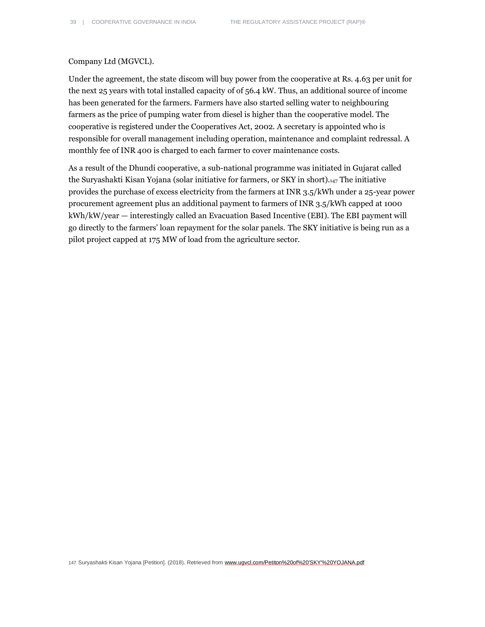### Company Ltd (MGVCL).

Under the agreement, the state discom will buy power from the cooperative at Rs. 4.63 per unit for the next 25 years with total installed capacity of of 56.4 kW. Thus, an additional source of income has been generated for the farmers. Farmers have also started selling water to neighbouring farmers as the price of pumping water from diesel is higher than the cooperative model. The cooperative is registered under the Cooperatives Act, 2002. A secretary is appointed who is responsible for overall management including operation, maintenance and complaint redressal. A monthly fee of INR 400 is charged to each farmer to cover maintenance costs.

As a result of the Dhundi cooperative, a sub-national programme was initiated in Gujarat called the Suryashakti Kisan Yojana (solar initiative for farmers, or SKY in short).<sup>147</sup> The initiative provides the purchase of excess electricity from the farmers at INR 3.5/kWh under a 25-year power procurement agreement plus an additional payment to farmers of INR 3.5/kWh capped at 1000 kWh/kW/year — interestingly called an Evacuation Based Incentive (EBI). The EBI payment will go directly to the farmers' loan repayment for the solar panels. The SKY initiative is being run as a pilot project capped at 175 MW of load from the agriculture sector.